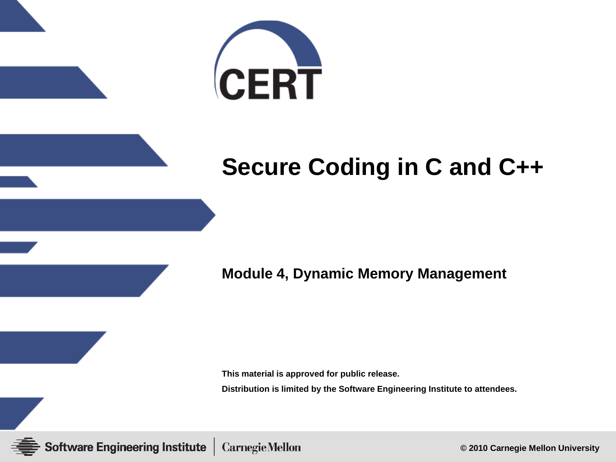

#### **Secure Coding in C and C++**

**Module 4, Dynamic Memory Management**

**This material is approved for public release.**

**Distribution is limited by the Software Engineering Institute to attendees.**

**Software Engineering Institute CarnegieMellon** 

**© 2010 Carnegie Mellon University**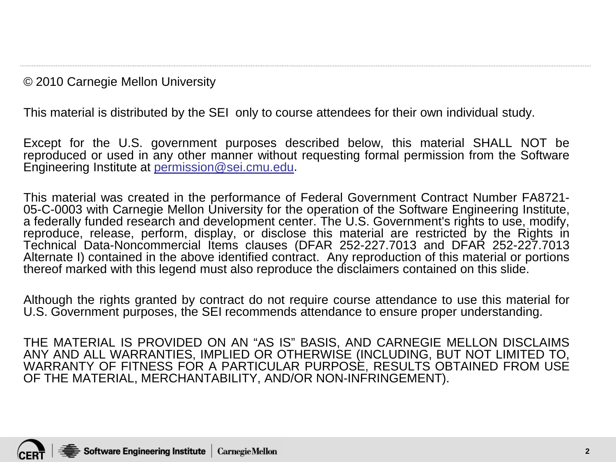© 2010 Carnegie Mellon University

This material is distributed by the SEI only to course attendees for their own individual study.

Except for the U.S. government purposes described below, this material SHALL NOT be reproduced or used in any other manner without requesting formal permission from the Software Engineering Institute at [permission@sei.cmu.edu](mailto:permission@sei.cmu.edu).

This material was created in the performance of Federal Government Contract Number FA8721- 05-C-0003 with Carnegie Mellon University for the operation of the Software Engineering Institute, a federally funded research and development center. The U.S. Government's rights to use, modify, reproduce, release, perform, display, or disclose this material are restricted by the Rights in Technical Data-Noncommercial Items clauses (DFAR 252-227.7013 and DFAR 252-227.7013 Alternate I) contained in the above identified contract. Any reproduction of this material or portions thereof marked with this legend must also reproduce the disclaimers contained on this slide.

Although the rights granted by contract do not require course attendance to use this material for U.S. Government purposes, the SEI recommends attendance to ensure proper understanding.

THE MATERIAL IS PROVIDED ON AN "AS IS" BASIS, AND CARNEGIE MELLON DISCLAIMS ANY AND ALL WARRANTIES, IMPLIED OR OTHERWISE (INCLUDING, BUT NOT LIMITED TO, WARRANTY OF FITNESS FOR A PARTICULAR PURPOSE, RESULTS OBTAINED FROM USE OF THE MATERIAL, MERCHANTABILITY, AND/OR NON-INFRINGEMENT).

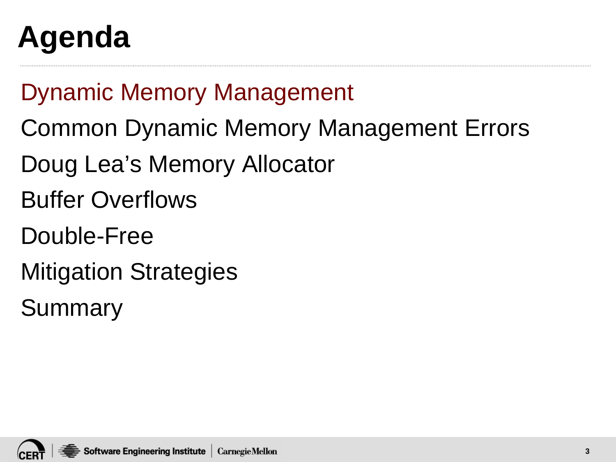## **Agenda**

Dynamic Memory Management

- Common Dynamic Memory Management Errors
- Doug Lea's Memory Allocator
- Buffer Overflows
- Double-Free
- Mitigation Strategies
- Summary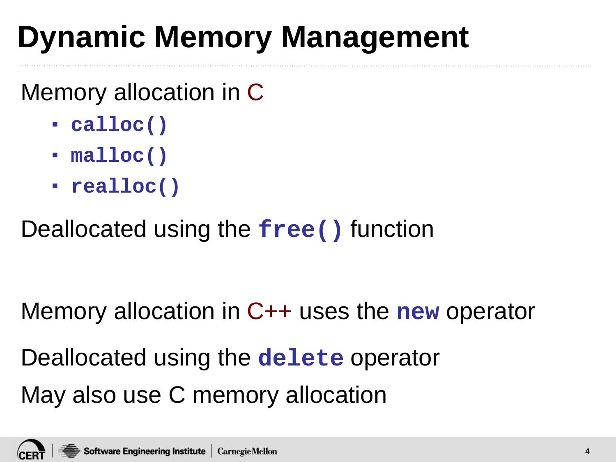## **Dynamic Memory Management**

#### Memory allocation in C

- **calloc()**
- **malloc()**
- **realloc()**

#### Deallocated using the **free()** function

#### Memory allocation in C++ uses the **new** operator

Deallocated using the **delete** operator May also use C memory allocation

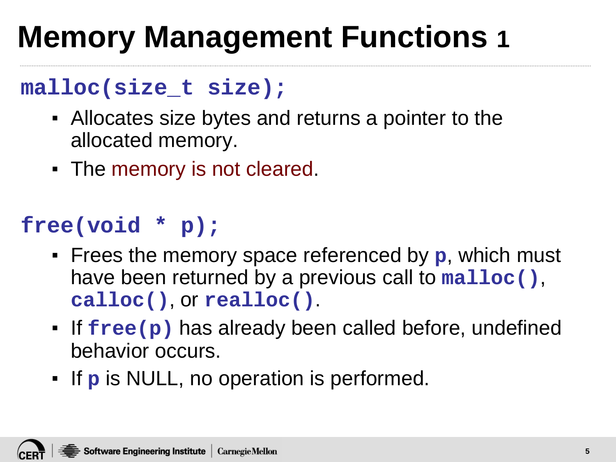## **Memory Management Functions 1**

#### **malloc(size\_t size);**

- Allocates size bytes and returns a pointer to the allocated memory.
- The memory is not cleared.

#### **free(void \* p);**

- Frees the memory space referenced by **p**, which must have been returned by a previous call to **malloc()**, **calloc()**, or **realloc()**.
- If **free(p)** has already been called before, undefined behavior occurs.
- If **p** is NULL, no operation is performed.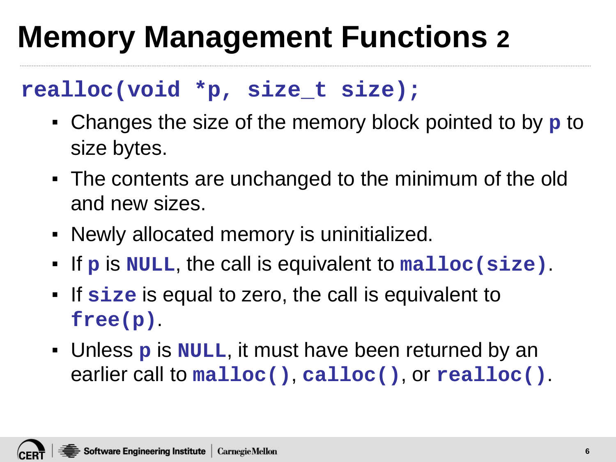#### **Memory Management Functions 2**

#### **realloc(void \*p, size\_t size);**

- Changes the size of the memory block pointed to by **p** to size bytes.
- The contents are unchanged to the minimum of the old and new sizes.
- Newly allocated memory is uninitialized.
- If **p** is **NULL**, the call is equivalent to **malloc(size)**.
- If **size** is equal to zero, the call is equivalent to **free(p)**.
- Unless **p** is **NULL**, it must have been returned by an earlier call to **malloc()**, **calloc()**, or **realloc()**.

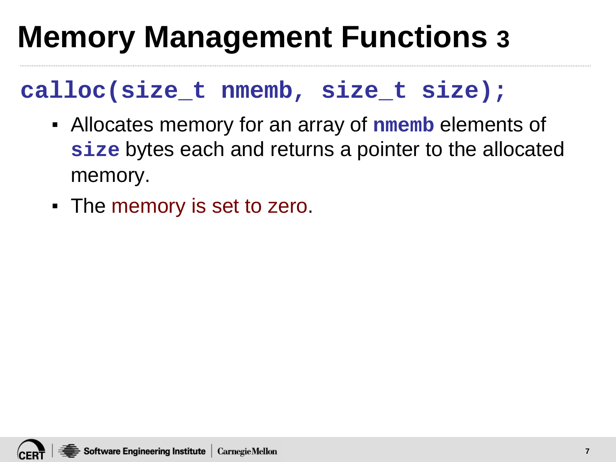#### **Memory Management Functions 3**

#### **calloc(size\_t nmemb, size\_t size);**

- Allocates memory for an array of **nmemb** elements of **size** bytes each and returns a pointer to the allocated memory.
- The memory is set to zero.

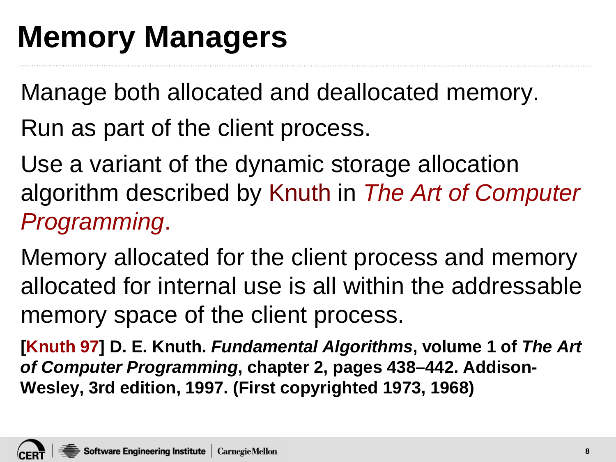#### **Memory Managers**

Manage both allocated and deallocated memory.

Run as part of the client process.

Use a variant of the dynamic storage allocation algorithm described by Knuth in *The Art of Computer Programming*.

Memory allocated for the client process and memory allocated for internal use is all within the addressable memory space of the client process.

**[Knuth 97] D. E. Knuth.** *Fundamental Algorithms***, volume 1 of** *The Art of Computer Programming***, chapter 2, pages 438–442. Addison-Wesley, 3rd edition, 1997. (First copyrighted 1973, 1968)**

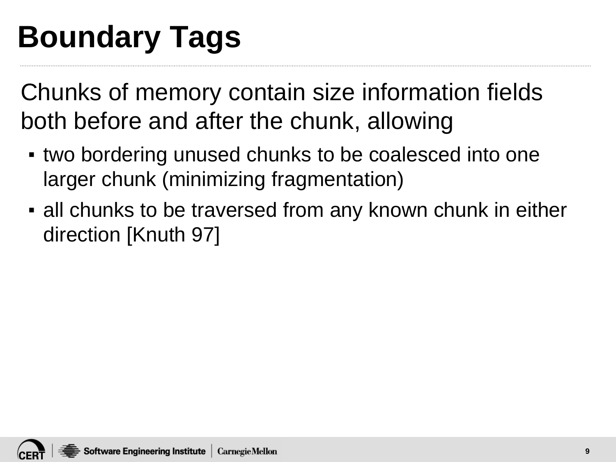## **Boundary Tags**

Chunks of memory contain size information fields both before and after the chunk, allowing

- two bordering unused chunks to be coalesced into one larger chunk (minimizing fragmentation)
- all chunks to be traversed from any known chunk in either direction [Knuth 97]

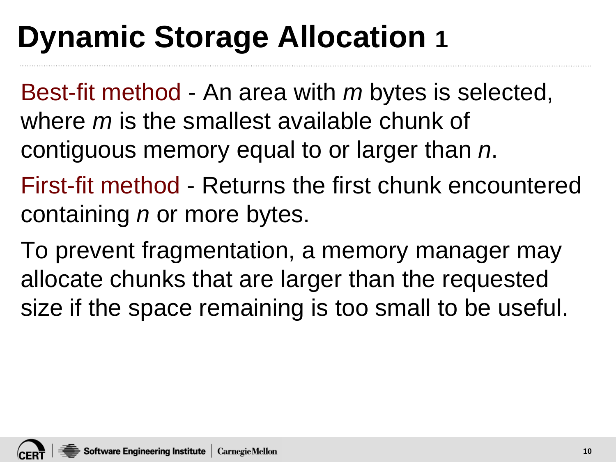## **Dynamic Storage Allocation 1**

Best-fit method - An area with *m* bytes is selected, where *m* is the smallest available chunk of contiguous memory equal to or larger than *n*.

First-fit method - Returns the first chunk encountered containing *n* or more bytes.

To prevent fragmentation, a memory manager may allocate chunks that are larger than the requested size if the space remaining is too small to be useful.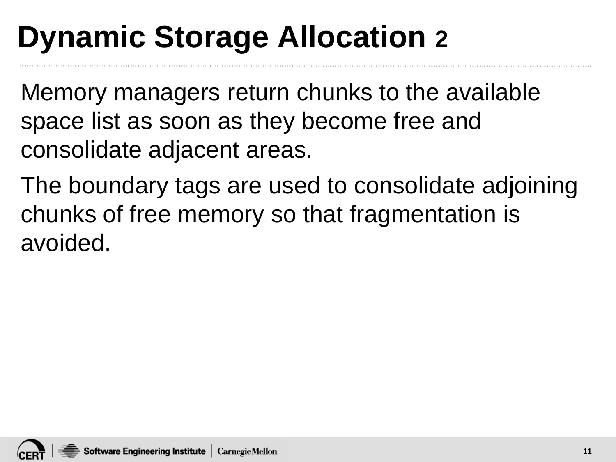## **Dynamic Storage Allocation 2**

Memory managers return chunks to the available space list as soon as they become free and consolidate adjacent areas.

The boundary tags are used to consolidate adjoining chunks of free memory so that fragmentation is avoided.

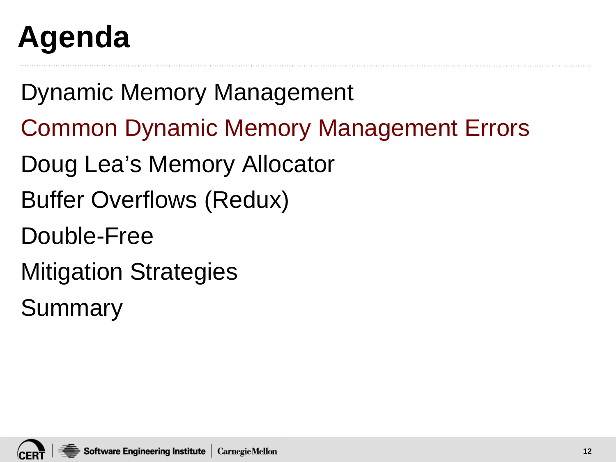## **Agenda**

Dynamic Memory Management

- Common Dynamic Memory Management Errors
- Doug Lea's Memory Allocator
- Buffer Overflows (Redux)
- Double-Free
- Mitigation Strategies
- Summary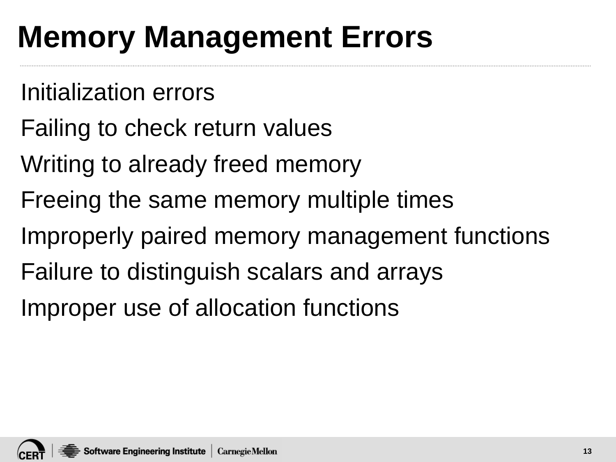## **Memory Management Errors**

- Initialization errors
- Failing to check return values
- Writing to already freed memory
- Freeing the same memory multiple times
- Improperly paired memory management functions
- Failure to distinguish scalars and arrays
- Improper use of allocation functions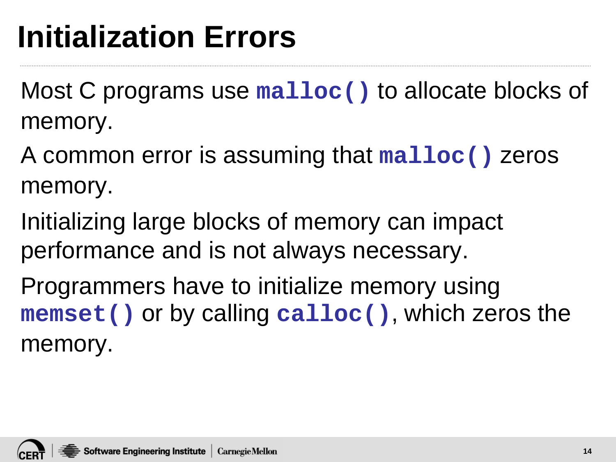### **Initialization Errors**

Most C programs use **malloc()** to allocate blocks of memory.

A common error is assuming that **malloc()** zeros memory.

Initializing large blocks of memory can impact performance and is not always necessary.

Programmers have to initialize memory using **memset()** or by calling **calloc()**, which zeros the memory.

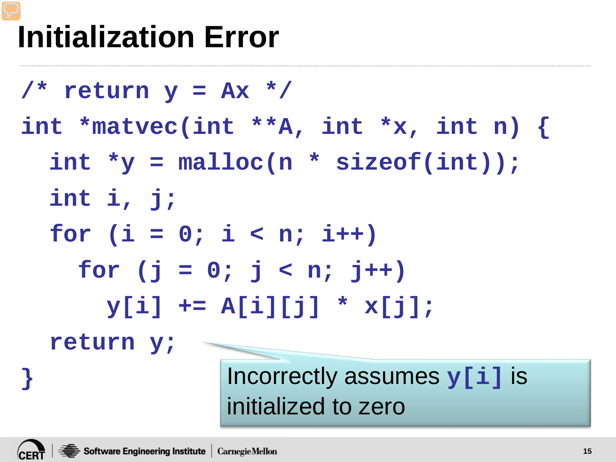## **Initialization Error**

**/\* return y = Ax \*/ int \*matvec(int \*\*A, int \*x, int n) { int \*y = malloc(n \* sizeof(int)); int i, j; for (i = 0; i < n; i++)** for  $(j = 0; j < n; j++)$ **y[i] += A[i][j] \* x[j]; return y; }** Incorrectly assumes **y[i]** is initialized to zero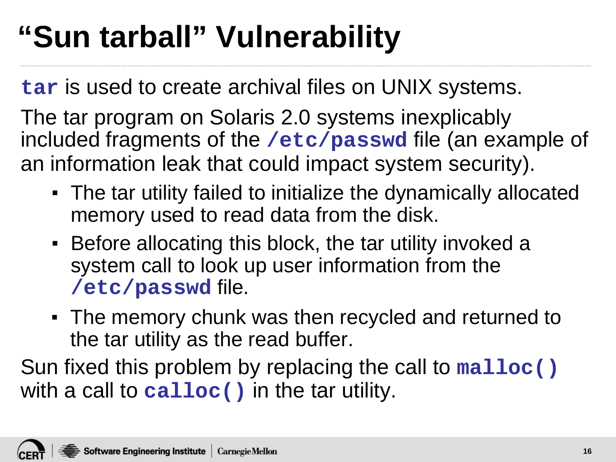## **"Sun tarball" Vulnerability**

**tar** is used to create archival files on UNIX systems.

The tar program on Solaris 2.0 systems inexplicably included fragments of the **/etc/passwd** file (an example of an information leak that could impact system security).

- The tar utility failed to initialize the dynamically allocated memory used to read data from the disk.
- Before allocating this block, the tar utility invoked a system call to look up user information from the **/etc/passwd** file.
- The memory chunk was then recycled and returned to the tar utility as the read buffer.

Sun fixed this problem by replacing the call to **malloc()** with a call to **calloc()** in the tar utility.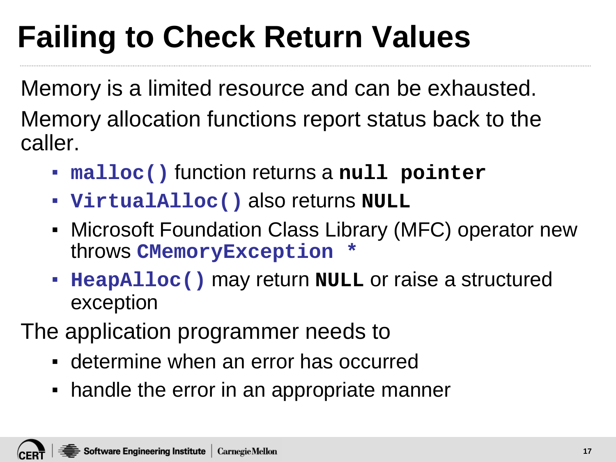# **Failing to Check Return Values**

Memory is a limited resource and can be exhausted. Memory allocation functions report status back to the caller.

- **malloc()** function returns a **null pointer**
- **VirtualAlloc()** also returns **NULL**
- **Microsoft Foundation Class Library (MFC) operator new** throws **CMemoryException \***
- **HeapAlloc()** may return **NULL** or raise a structured exception
- The application programmer needs to
	- determine when an error has occurred
	- handle the error in an appropriate manner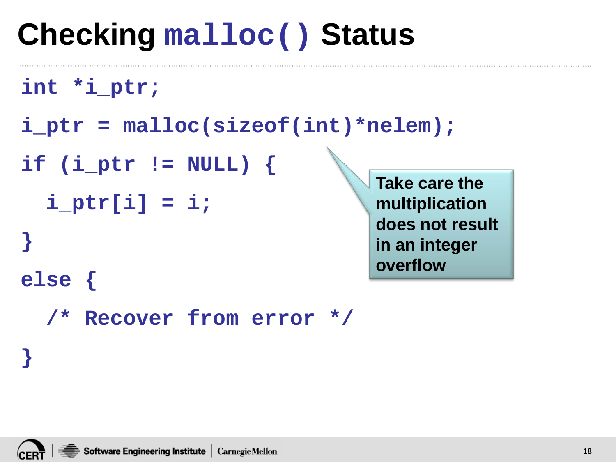#### **Checking malloc() Status**

```
int *i_ptr;
```
- **i\_ptr = malloc(sizeof(int)\*nelem);**
- **if (i\_ptr != NULL) {**

```
i ptr[i] = i;
```
**Take care the multiplication does not result in an integer overflow**

```
/* Recover from error */
```
**}**

**}**

**else {**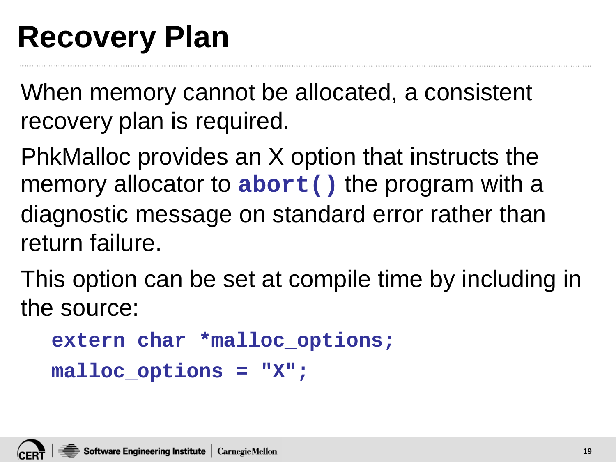#### **Recovery Plan**

When memory cannot be allocated, a consistent recovery plan is required.

PhkMalloc provides an X option that instructs the memory allocator to **abort()** the program with a diagnostic message on standard error rather than return failure.

This option can be set at compile time by including in the source:

```
extern char *malloc_options;
```

```
malloc_options = "X";
```
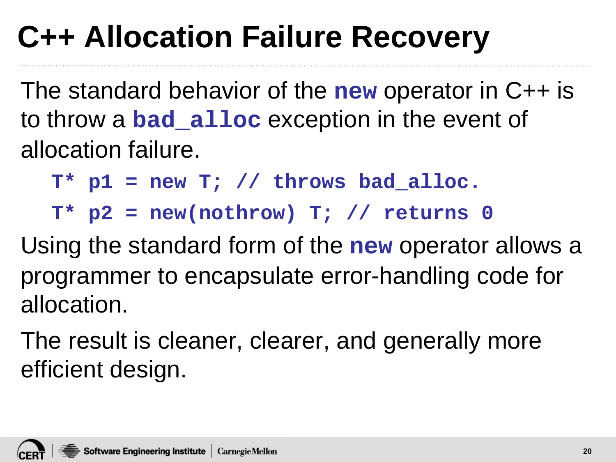## **C++ Allocation Failure Recovery**

The standard behavior of the **new** operator in C++ is to throw a **bad\_alloc** exception in the event of allocation failure.

**T\* p1 = new T; // throws bad\_alloc.**

**T\* p2 = new(nothrow) T; // returns 0** 

Using the standard form of the **new** operator allows a programmer to encapsulate error-handling code for allocation.

The result is cleaner, clearer, and generally more efficient design.

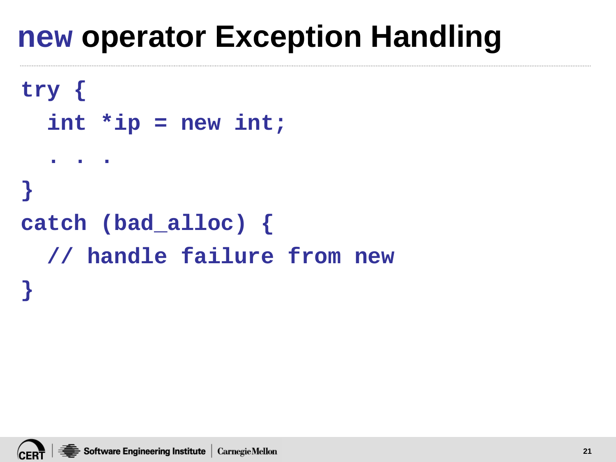#### **new operator Exception Handling**

```
try {
  int *ip = new int;
  . . .
}
catch (bad_alloc) {
  // handle failure from new
}
```
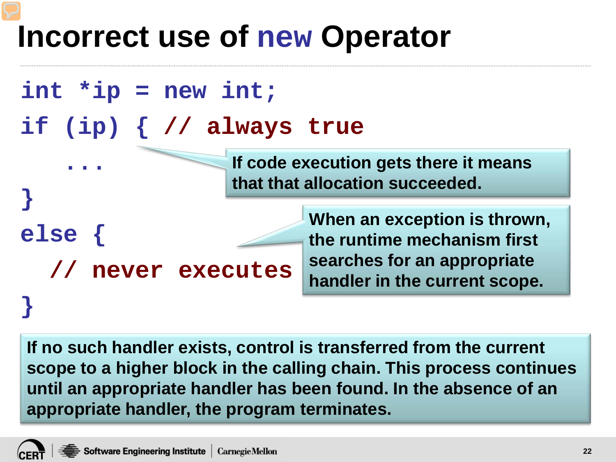#### **Incorrect use of new Operator**



**If no such handler exists, control is transferred from the current scope to a higher block in the calling chain. This process continues until an appropriate handler has been found. In the absence of an appropriate handler, the program terminates.** 

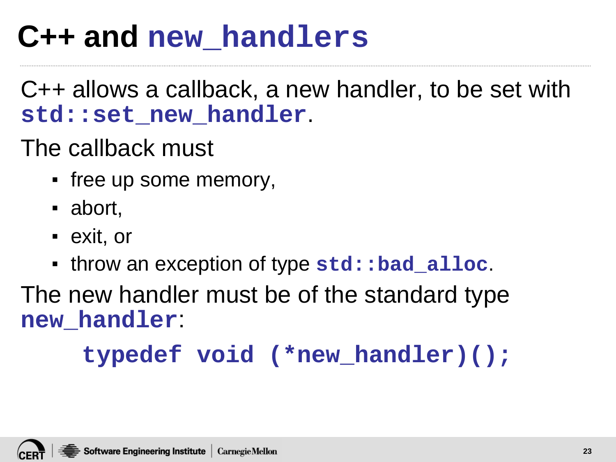#### **C++ and new\_handlers**

C++ allows a callback, a new handler, to be set with **std::set\_new\_handler**.

The callback must

- free up some memory,
- abort,
- exit, or
- throw an exception of type **std::bad\_alloc**.

The new handler must be of the standard type **new\_handler**:

**typedef void (\*new\_handler)();**

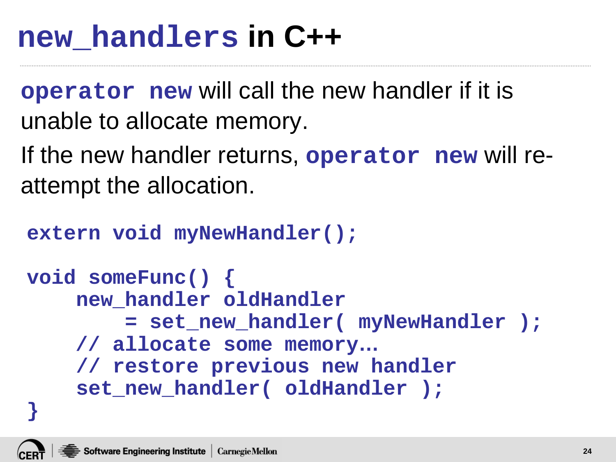#### **new\_handlers in C++**

**operator new** will call the new handler if it is unable to allocate memory.

If the new handler returns, **operator new** will reattempt the allocation.

```
extern void myNewHandler();
```

```
void someFunc() {
    new_handler oldHandler
        = set_new_handler( myNewHandler );
    // allocate some memory…
    // restore previous new handler
    set_new_handler( oldHandler );
}
```
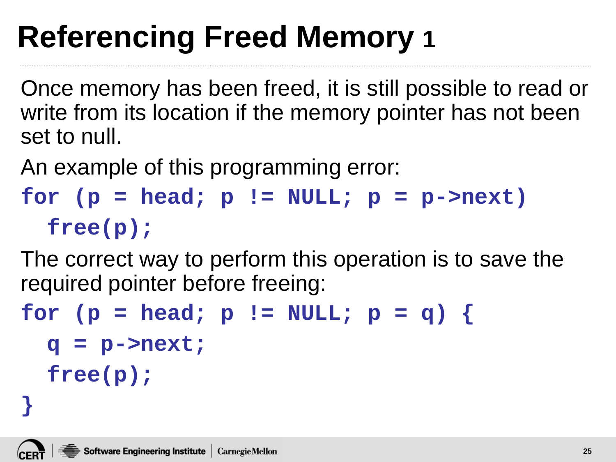Once memory has been freed, it is still possible to read or write from its location if the memory pointer has not been set to null.

An example of this programming error:

```
for (p = head; p != NULL; p = p->next)free(p);
```
The correct way to perform this operation is to save the required pointer before freeing:

```
for (p = head; p != NULL; p = q) {
  q = p->next;
  free(p);
```


**}**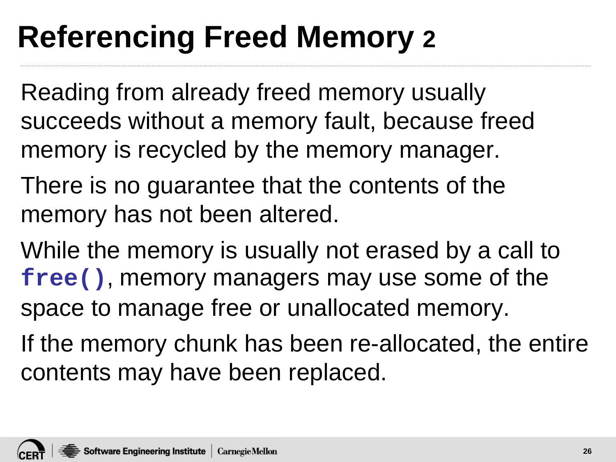Reading from already freed memory usually succeeds without a memory fault, because freed memory is recycled by the memory manager.

- There is no guarantee that the contents of the memory has not been altered.
- While the memory is usually not erased by a call to **free()**, memory managers may use some of the space to manage free or unallocated memory.
- If the memory chunk has been re-allocated, the entire contents may have been replaced.

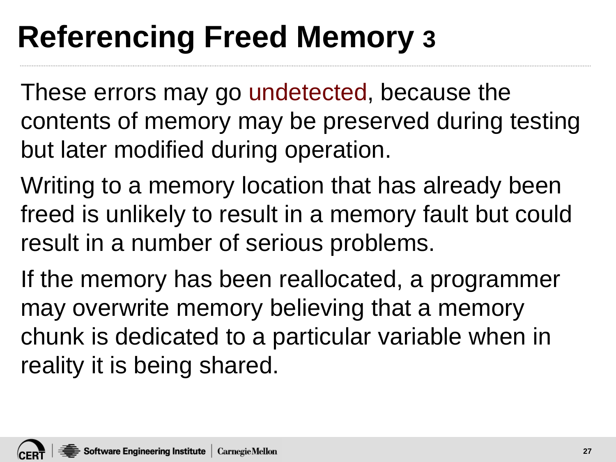These errors may go undetected, because the contents of memory may be preserved during testing but later modified during operation.

Writing to a memory location that has already been freed is unlikely to result in a memory fault but could result in a number of serious problems.

If the memory has been reallocated, a programmer may overwrite memory believing that a memory chunk is dedicated to a particular variable when in reality it is being shared.

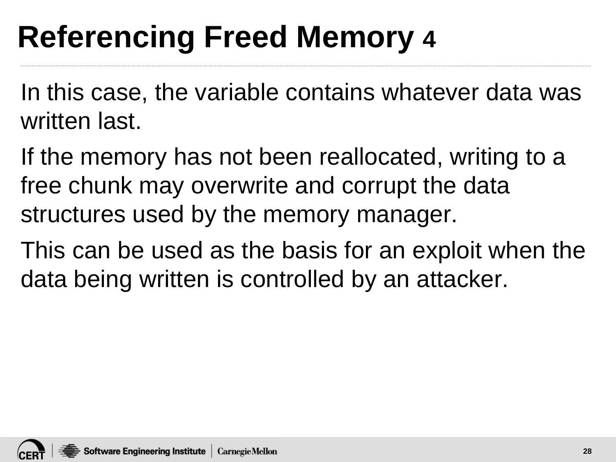In this case, the variable contains whatever data was written last.

If the memory has not been reallocated, writing to a free chunk may overwrite and corrupt the data structures used by the memory manager.

This can be used as the basis for an exploit when the data being written is controlled by an attacker.

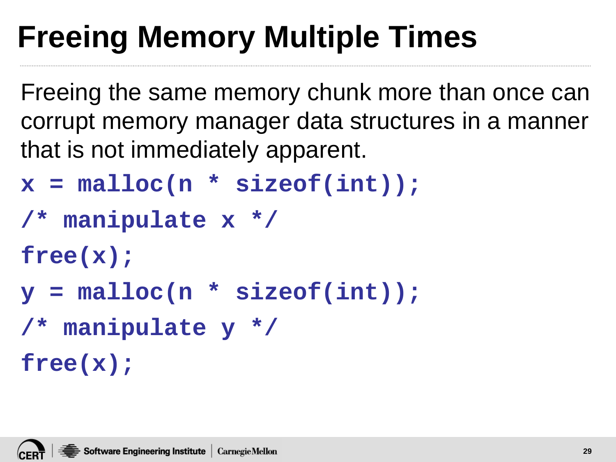# **Freeing Memory Multiple Times**

Freeing the same memory chunk more than once can corrupt memory manager data structures in a manner that is not immediately apparent.

- **x = malloc(n \* sizeof(int));**
- **/\* manipulate x \*/**

**free(x);**

**y = malloc(n \* sizeof(int));**

```
/* manipulate y */
```
**free(x);**



**29**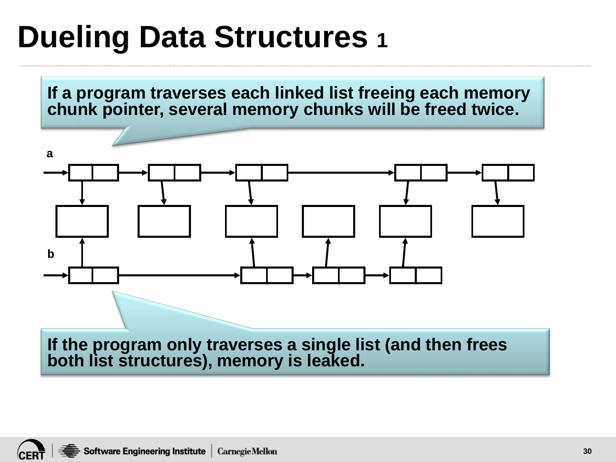#### **Dueling Data Structures 1**

**If a program traverses each linked list freeing each memory chunk pointer, several memory chunks will be freed twice.** 



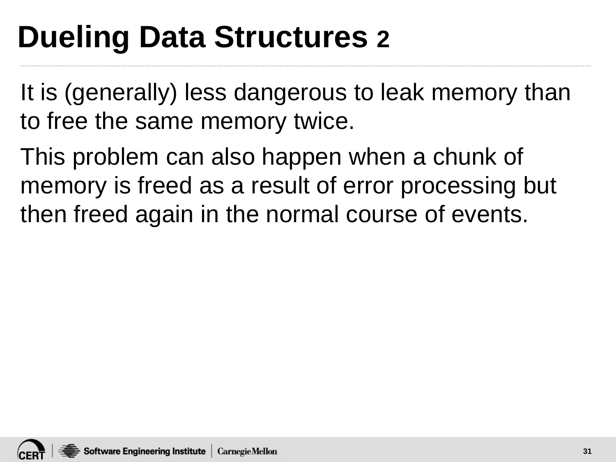## **Dueling Data Structures 2**

It is (generally) less dangerous to leak memory than to free the same memory twice.

This problem can also happen when a chunk of memory is freed as a result of error processing but then freed again in the normal course of events.

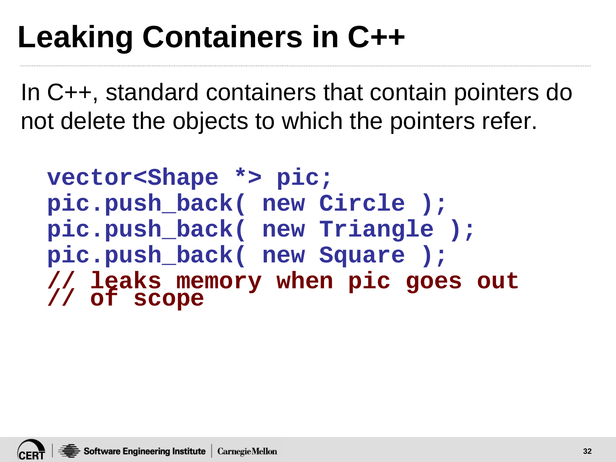## **Leaking Containers in C++**

In C++, standard containers that contain pointers do not delete the objects to which the pointers refer.

**vector<Shape \*> pic; pic.push\_back( new Circle ); pic.push\_back( new Triangle ); pic.push\_back( new Square ); // leaks memory when pic goes out // of scope**

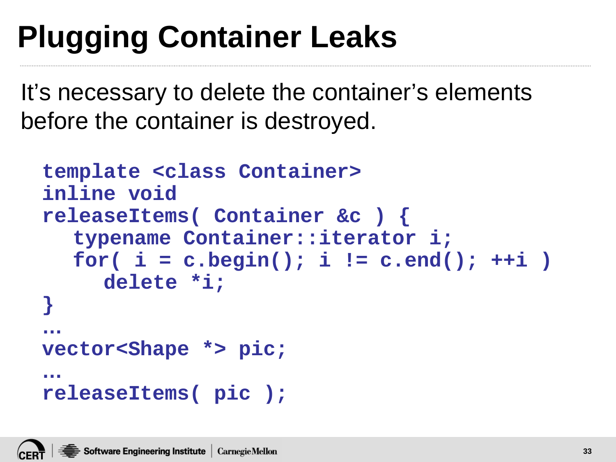# **Plugging Container Leaks**

It's necessary to delete the container's elements before the container is destroyed.

```
template <class Container>
inline void
releaseItems( Container &c ) {
  typename Container::iterator i;
  for( i = c.begin(); i != c.end(); ++i )
     delete *i;
}
…
vector<Shape *> pic;
…
releaseItems( pic );
```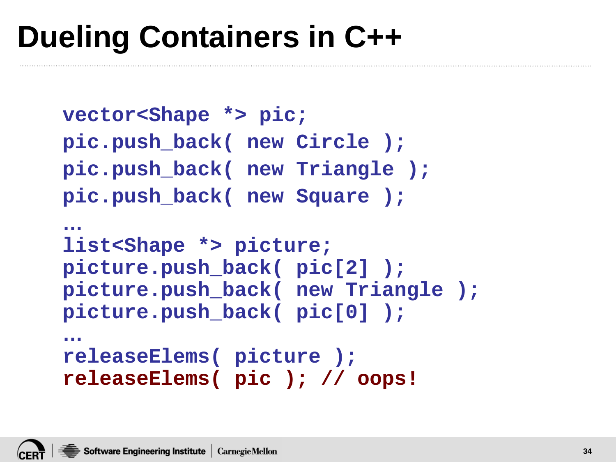## **Dueling Containers in C++**

```
vector<Shape *> pic;
pic.push_back( new Circle );
pic.push_back( new Triangle );
pic.push_back( new Square );
…
list<Shape *> picture;
picture.push_back( pic[2] );
picture.push_back( new Triangle );
picture.push_back( pic[0] );
…
releaseElems( picture );
releaseElems( pic ); // oops!
```
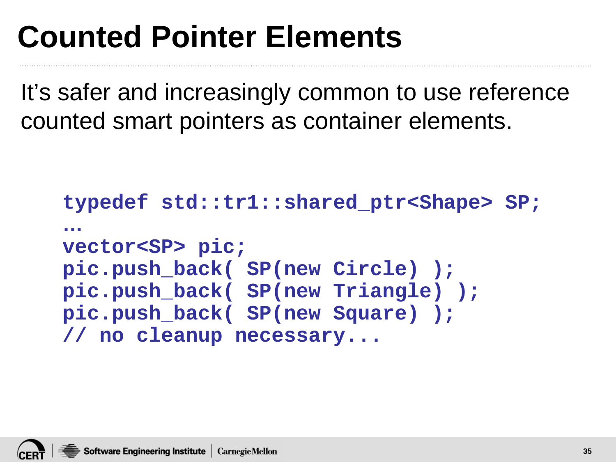## **Counted Pointer Elements**

It's safer and increasingly common to use reference counted smart pointers as container elements.

```
typedef std::tr1::shared_ptr<Shape> SP;
…
vector<SP> pic;
pic.push_back( SP(new Circle) );
pic.push_back( SP(new Triangle) );
pic.push_back( SP(new Square) );
// no cleanup necessary...
```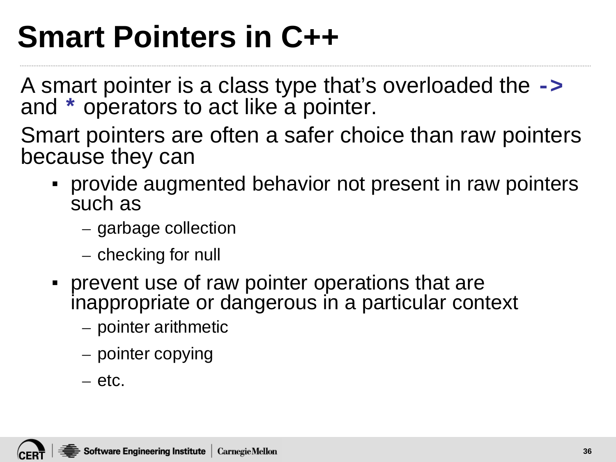## **Smart Pointers in C++**

A smart pointer is a class type that's overloaded the **->** and **\*** operators to act like a pointer.

Smart pointers are often a safer choice than raw pointers because they can

- provide augmented behavior not present in raw pointers such as
	- garbage collection
	- checking for null
- prevent use of raw pointer operations that are inappropriate or dangerous in a particular context
	- pointer arithmetic
	- pointer copying
	- etc.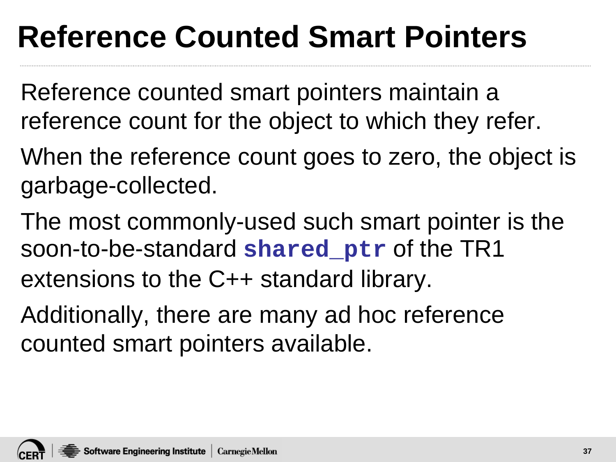# **Reference Counted Smart Pointers**

- Reference counted smart pointers maintain a reference count for the object to which they refer.
- When the reference count goes to zero, the object is garbage-collected.
- The most commonly-used such smart pointer is the soon-to-be-standard **shared\_ptr** of the TR1 extensions to the C++ standard library.
- Additionally, there are many ad hoc reference counted smart pointers available.

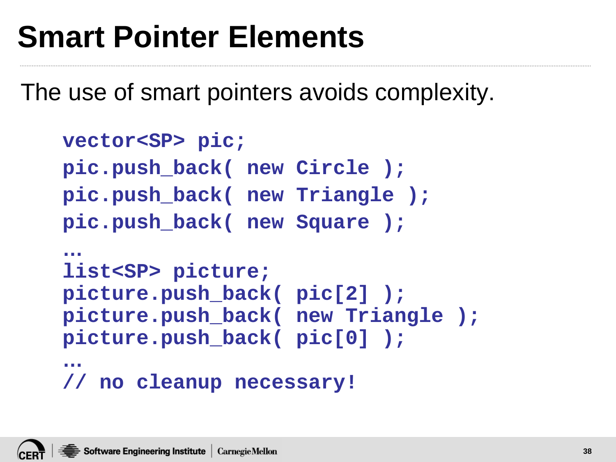# **Smart Pointer Elements**

The use of smart pointers avoids complexity.

```
vector<SP> pic;
pic.push_back( new Circle );
pic.push_back( new Triangle );
pic.push_back( new Square );
…
list<SP> picture;
picture.push_back( pic[2] );
picture.push_back( new Triangle );
picture.push_back( pic[0] );
…
// no cleanup necessary!
```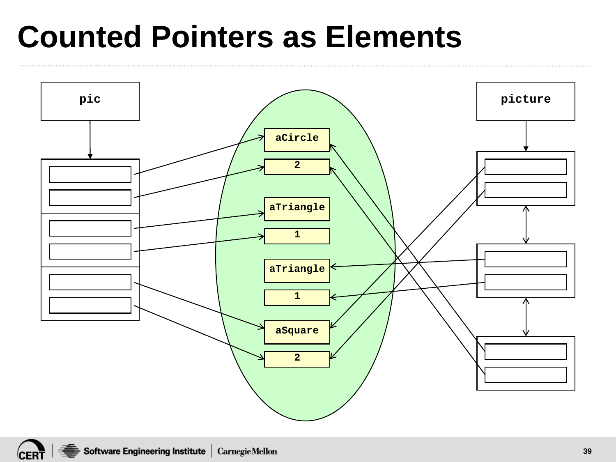## **Counted Pointers as Elements**

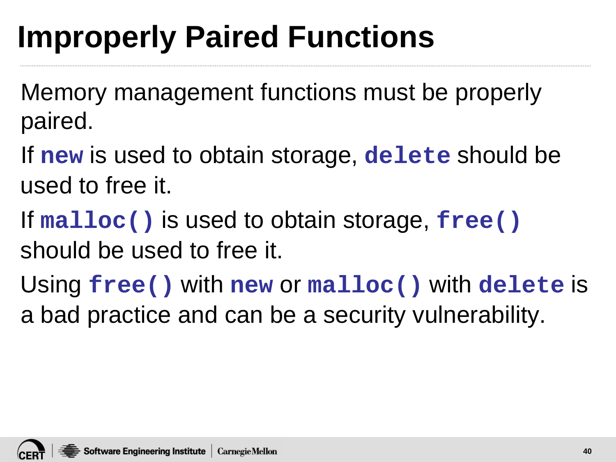# **Improperly Paired Functions**

Memory management functions must be properly paired.

If **new** is used to obtain storage, **delete** should be used to free it.

If **malloc()** is used to obtain storage, **free()** should be used to free it.

Using **free()** with **new** or **malloc()** with **delete** is a bad practice and can be a security vulnerability.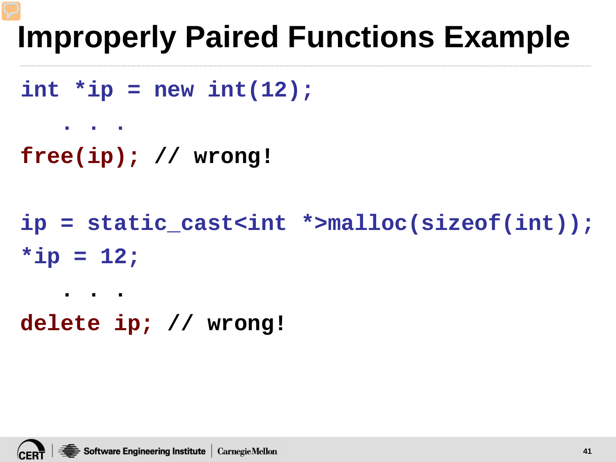# **Improperly Paired Functions Example**

```
int *ip = new int(12);
```

```
. . .
```
**. . .** 

```
free(ip); // wrong!
```

```
ip = static_cast<int *>malloc(sizeof(int));
*ip = 12;
```

```
delete ip; // wrong!
```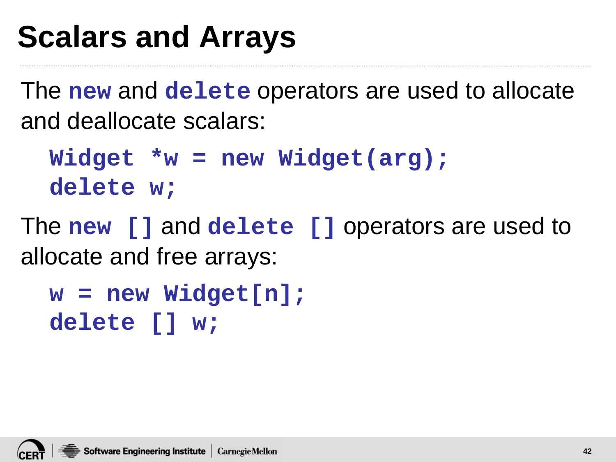# **Scalars and Arrays**

The **new** and **delete** operators are used to allocate and deallocate scalars:

**Widget \*w = new Widget(arg); delete w;**

The **new []** and **delete []** operators are used to allocate and free arrays:

```
w = new Widget[n];
delete [] w;
```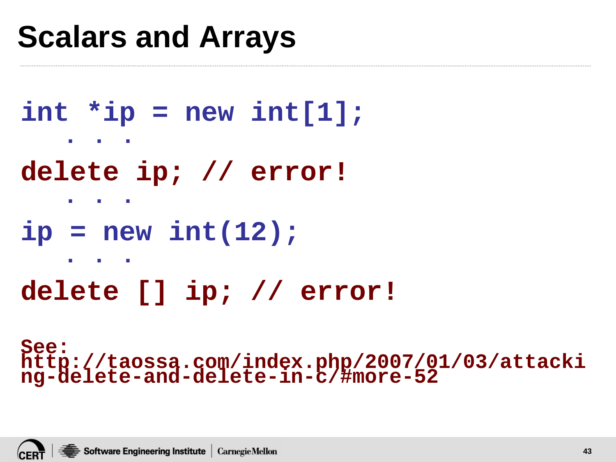## **Scalars and Arrays**

```
int *ip = new int[1];
   . . . 
delete ip; // error!
   . . . 
ip = new int(12);
   . . . 
delete [] ip; // error!
```

```
See: 
http://taossa.com/index.php/2007/01/03/attacki
ng-delete-and-delete-in-c/#more-52
```
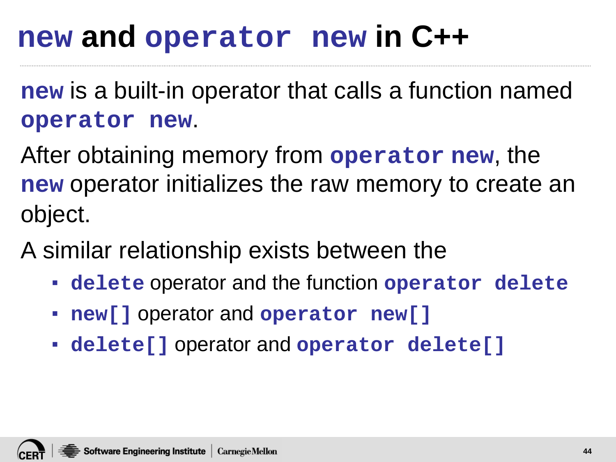### **new and operator new in C++**

**new** is a built-in operator that calls a function named **operator new**.

After obtaining memory from **operator new**, the **new** operator initializes the raw memory to create an object.

A similar relationship exists between the

- **delete** operator and the function **operator delete**
- **new[]** operator and **operator new[]**
- **delete[]** operator and **operator delete[]**

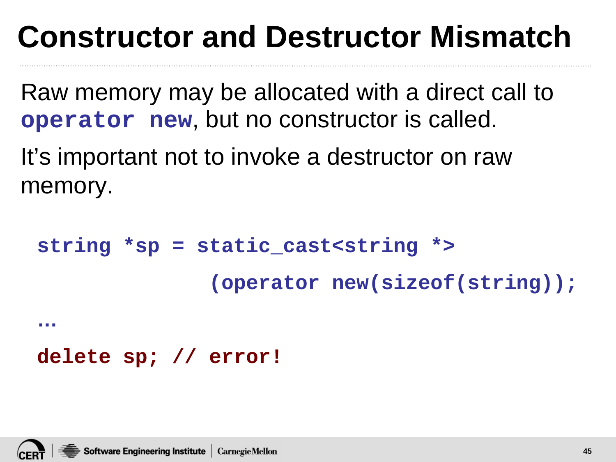# **Constructor and Destructor Mismatch**

Raw memory may be allocated with a direct call to **operator new**, but no constructor is called.

It's important not to invoke a destructor on raw memory.

```
string *sp = static_cast<string *>
              (operator new(sizeof(string));
…
```
#### **delete sp; // error!**

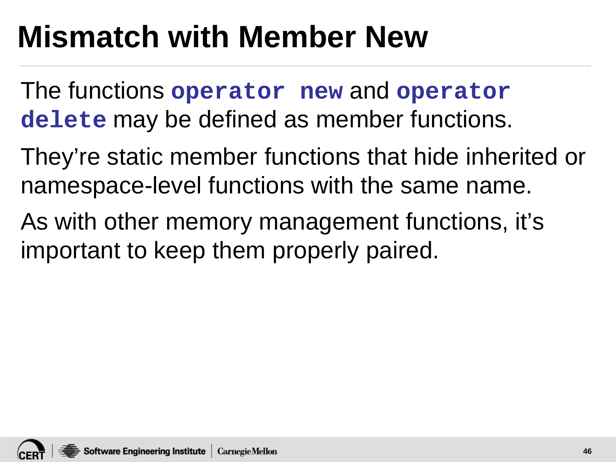# **Mismatch with Member New**

The functions **operator new** and **operator delete** may be defined as member functions.

They're static member functions that hide inherited or namespace-level functions with the same name.

As with other memory management functions, it's important to keep them properly paired.

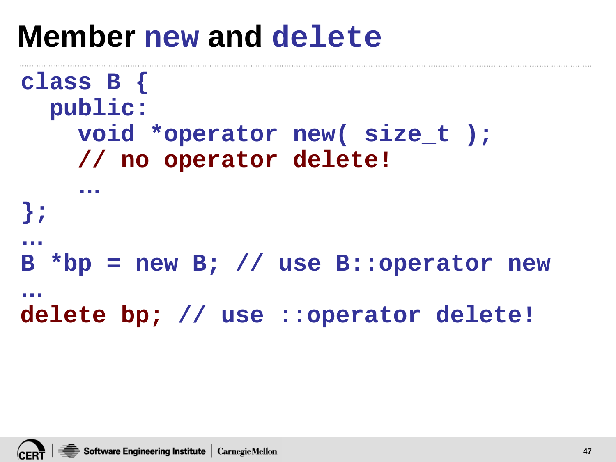#### **Member new and delete**

```
class B {
  public:
    void *operator new( size_t );
    // no operator delete!
    …
};
…
B *bp = new B; // use B::operator new
…
delete bp; // use ::operator delete!
```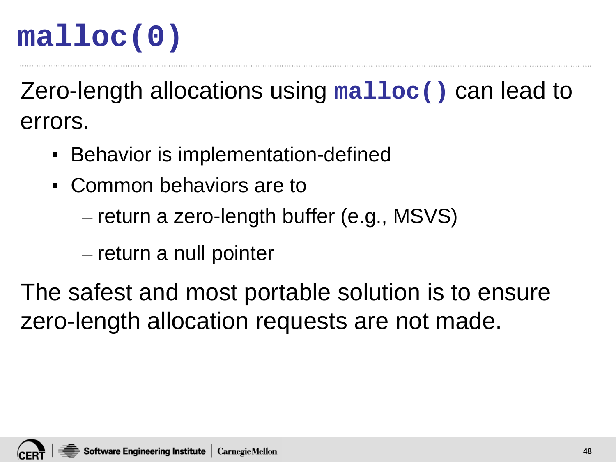#### **malloc(0)**

Zero-length allocations using **malloc()** can lead to errors.

- **EXECT:** Behavior is implementation-defined
- Common behaviors are to
	- return a zero-length buffer (e.g., MSVS)
	- return a null pointer

The safest and most portable solution is to ensure zero-length allocation requests are not made.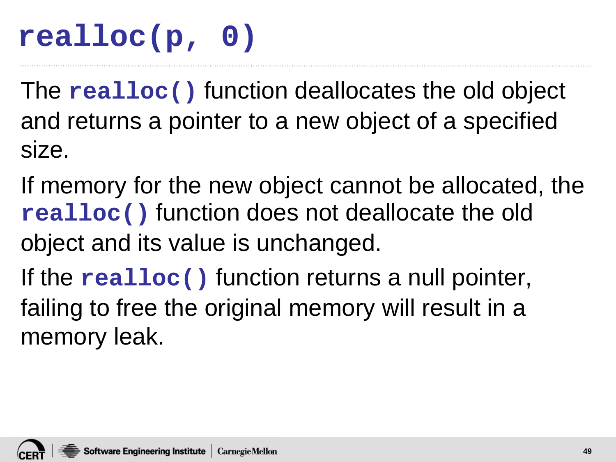#### **realloc(p, 0)**

The **realloc()** function deallocates the old object and returns a pointer to a new object of a specified size.

If memory for the new object cannot be allocated, the **realloc()** function does not deallocate the old object and its value is unchanged.

If the **realloc()** function returns a null pointer, failing to free the original memory will result in a memory leak.

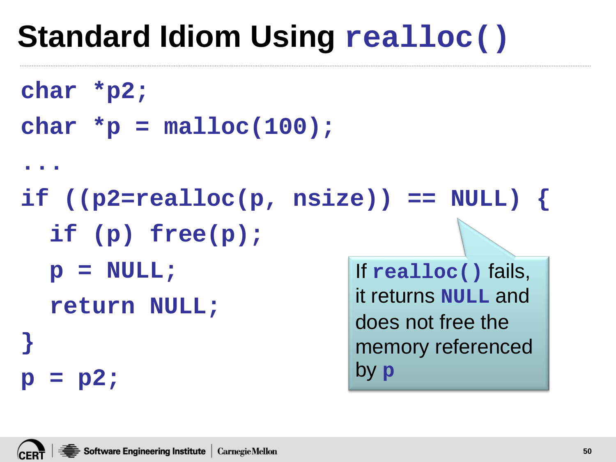# **Standard Idiom Using realloc()**

```
char *p2;
```

```
char *p = malloc(100);
```

```
...
```

```
if ((p2=realloc(p, nsize)) == NULL) { 
  if (p) free(p); 
  p = NULL; 
                            If realloc() fails,
```
**return NULL;** 

```
it returns NULL and 
does not free the 
memory referenced 
by p
```
**}** 

**p = p2;**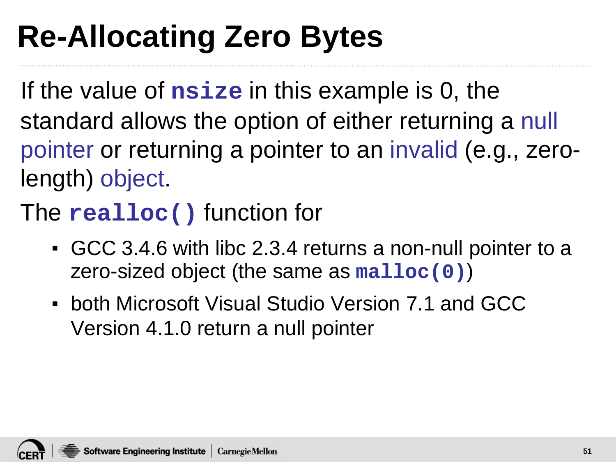# **Re-Allocating Zero Bytes**

If the value of **nsize** in this example is 0, the standard allows the option of either returning a null pointer or returning a pointer to an invalid (e.g., zerolength) object.

The **realloc()** function for

- GCC 3.4.6 with libc 2.3.4 returns a non-null pointer to a zero-sized object (the same as **malloc(0)**)
- **.** both Microsoft Visual Studio Version 7.1 and GCC Version 4.1.0 return a null pointer

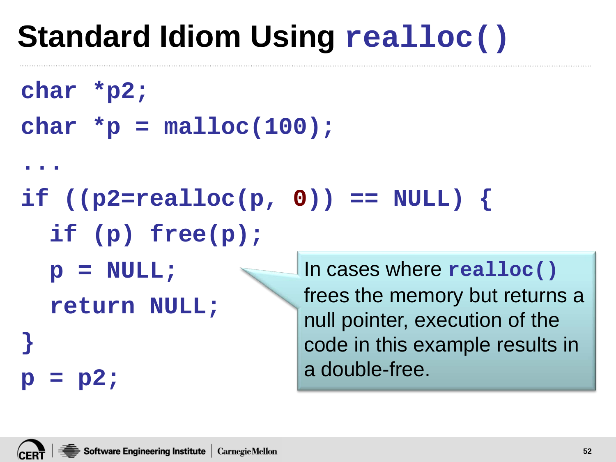# **Standard Idiom Using realloc()**

```
char *p2;
```

```
char *p = malloc(100);
```
**...** 

if  $((p2=realloc(p, 0)) == NULL)$ 

**if (p) free(p);** 

**p = NULL;** 

**return NULL;** 

In cases where **realloc()** frees the memory but returns a null pointer, execution of the code in this example results in a double-free.



**}** 

**p = p2;**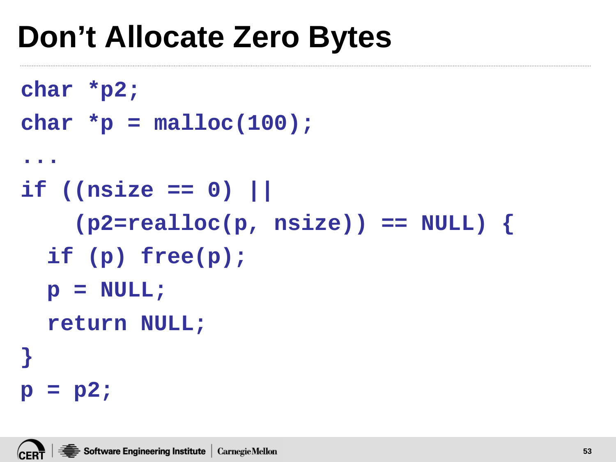# **Don't Allocate Zero Bytes**

```
char *p2; 
char *{\bf p} = malloc(100);
... 
if ((nsize == 0) || 
    (p2=realloc(p, nsize)) == NULL) { 
  if (p) free(p); 
  p = NULL; 
  return NULL; 
} 
p = p2;
```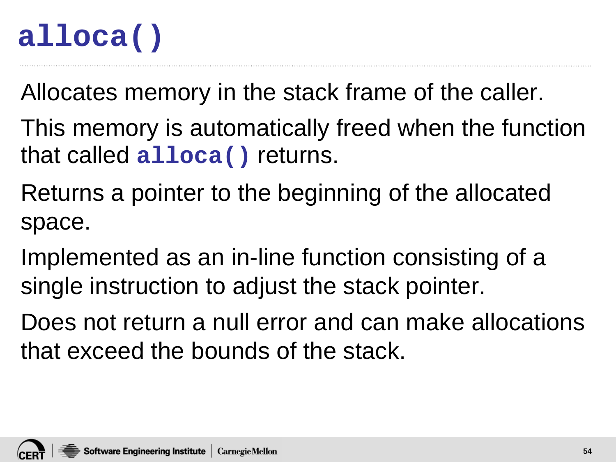#### **alloca()**

Allocates memory in the stack frame of the caller.

- This memory is automatically freed when the function that called **alloca()** returns.
- Returns a pointer to the beginning of the allocated space.
- Implemented as an in-line function consisting of a single instruction to adjust the stack pointer.
- Does not return a null error and can make allocations that exceed the bounds of the stack.

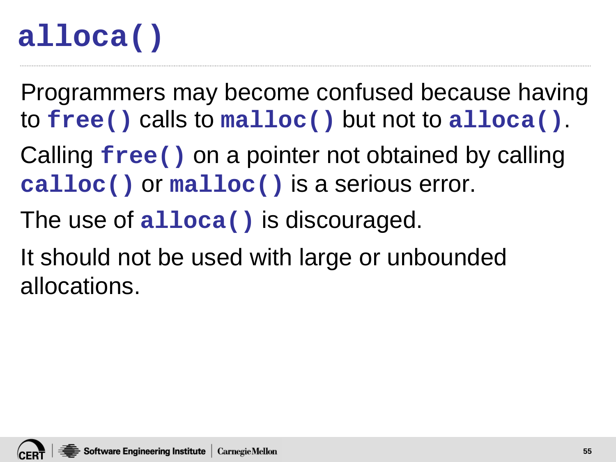#### **alloca()**

Programmers may become confused because having to **free()** calls to **malloc()** but not to **alloca()**.

Calling **free()** on a pointer not obtained by calling **calloc()** or **malloc()** is a serious error.

- The use of **alloca()** is discouraged.
- It should not be used with large or unbounded allocations.

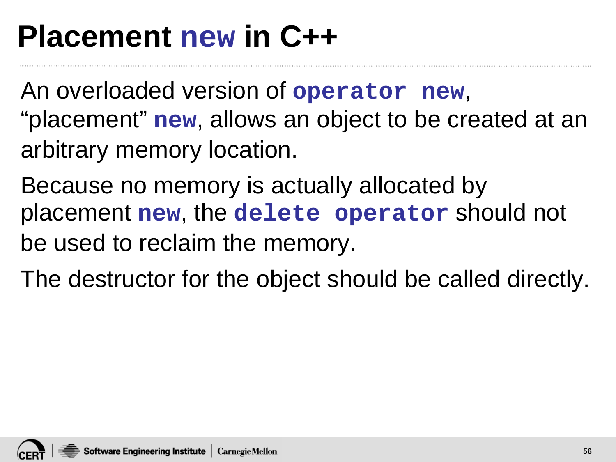## **Placement new in C++**

An overloaded version of **operator new**, "placement" **new**, allows an object to be created at an arbitrary memory location.

Because no memory is actually allocated by placement **new**, the **delete operator** should not be used to reclaim the memory.

The destructor for the object should be called directly.

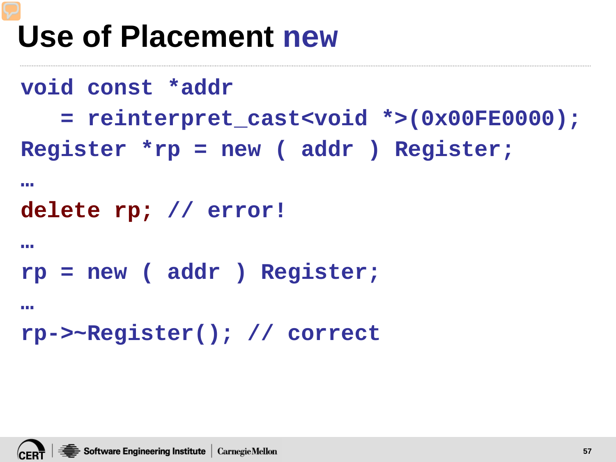## **Use of Placement new**

```
void const *addr
   = reinterpret_cast<void *>(0x00FE0000);
Register *rp = new ( addr ) Register;
…
delete rp; // error!
…
rp = new ( addr ) Register;
…
rp->~Register(); // correct
```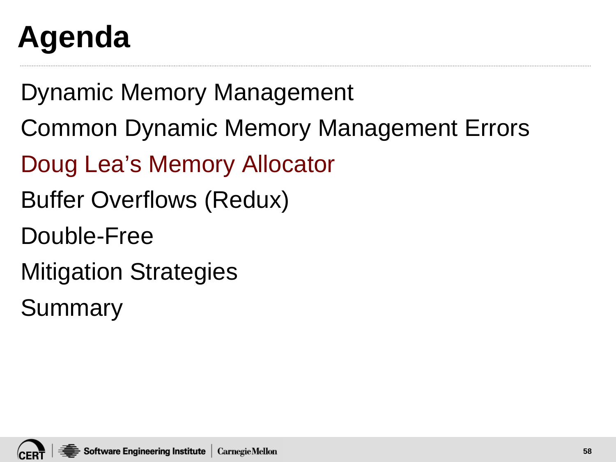# **Agenda**

Dynamic Memory Management

- Common Dynamic Memory Management Errors
- Doug Lea's Memory Allocator
- Buffer Overflows (Redux)
- Double-Free
- Mitigation Strategies

Summary

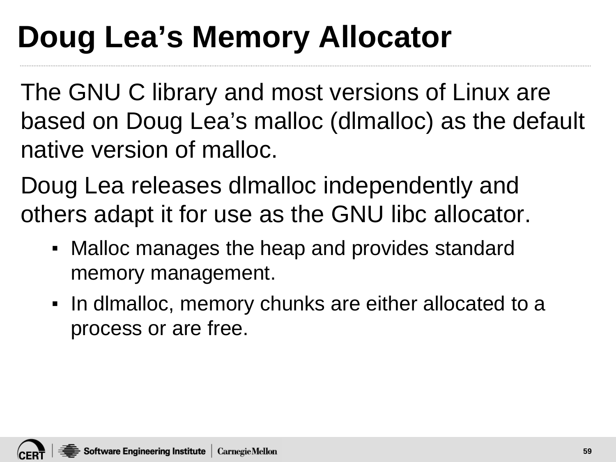# **Doug Lea's Memory Allocator**

The GNU C library and most versions of Linux are based on Doug Lea's malloc (dlmalloc) as the default native version of malloc.

Doug Lea releases dlmalloc independently and others adapt it for use as the GNU libc allocator.

- Malloc manages the heap and provides standard memory management.
- In dlmalloc, memory chunks are either allocated to a process or are free.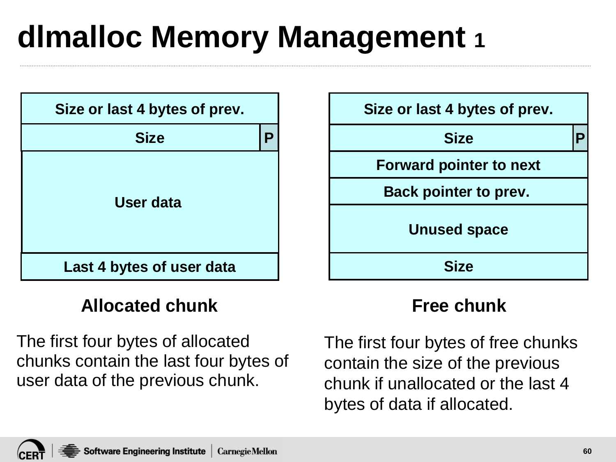# **dlmalloc Memory Management 1**



#### **Allocated chunk Free chunk**

The first four bytes of allocated chunks contain the last four bytes of user data of the previous chunk.



The first four bytes of free chunks contain the size of the previous chunk if unallocated or the last 4 bytes of data if allocated.

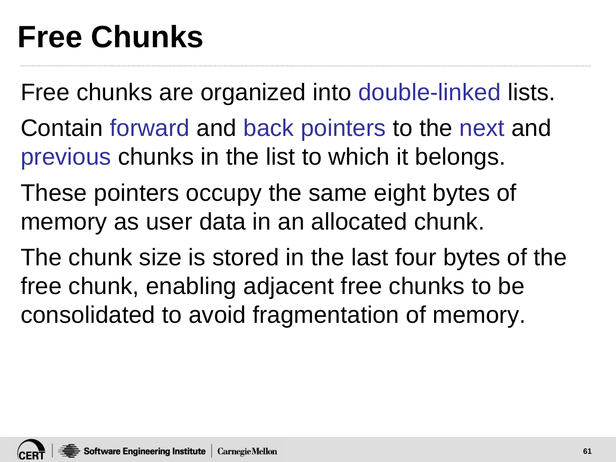# **Free Chunks**

Free chunks are organized into double-linked lists.

- Contain forward and back pointers to the next and previous chunks in the list to which it belongs.
- These pointers occupy the same eight bytes of memory as user data in an allocated chunk.
- The chunk size is stored in the last four bytes of the free chunk, enabling adjacent free chunks to be consolidated to avoid fragmentation of memory.

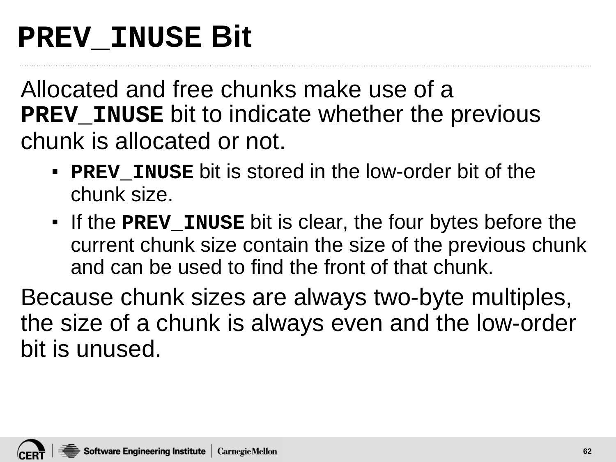#### **PREV\_INUSE Bit**

Allocated and free chunks make use of a **PREV\_INUSE** bit to indicate whether the previous chunk is allocated or not.

- **PREV INUSE** bit is stored in the low-order bit of the chunk size.
- If the **PREV\_INUSE** bit is clear, the four bytes before the current chunk size contain the size of the previous chunk and can be used to find the front of that chunk.

Because chunk sizes are always two-byte multiples, the size of a chunk is always even and the low-order bit is unused.

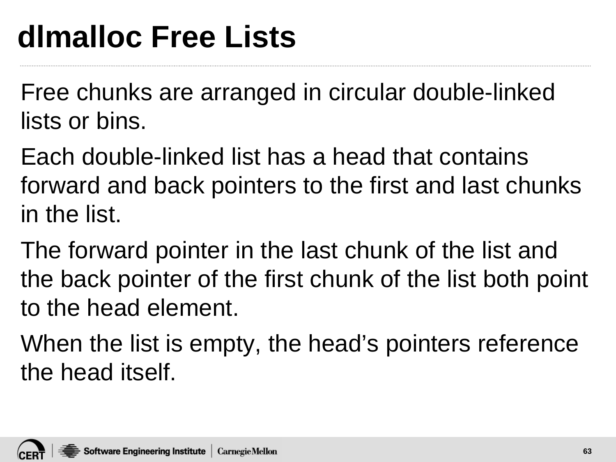Free chunks are arranged in circular double-linked lists or bins.

Each double-linked list has a head that contains forward and back pointers to the first and last chunks in the list.

The forward pointer in the last chunk of the list and the back pointer of the first chunk of the list both point to the head element.

When the list is empty, the head's pointers reference the head itself.

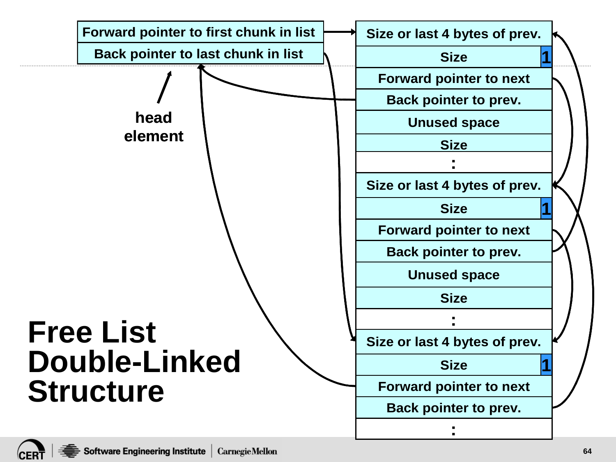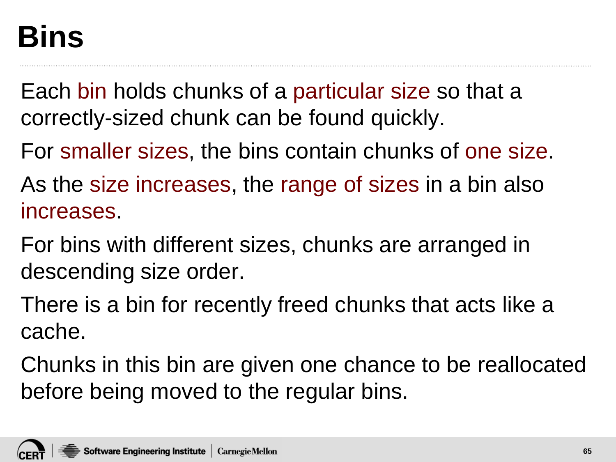## **Bins**

Each bin holds chunks of a particular size so that a correctly-sized chunk can be found quickly.

For smaller sizes, the bins contain chunks of one size.

As the size increases, the range of sizes in a bin also increases.

For bins with different sizes, chunks are arranged in descending size order.

There is a bin for recently freed chunks that acts like a cache.

Chunks in this bin are given one chance to be reallocated before being moved to the regular bins.

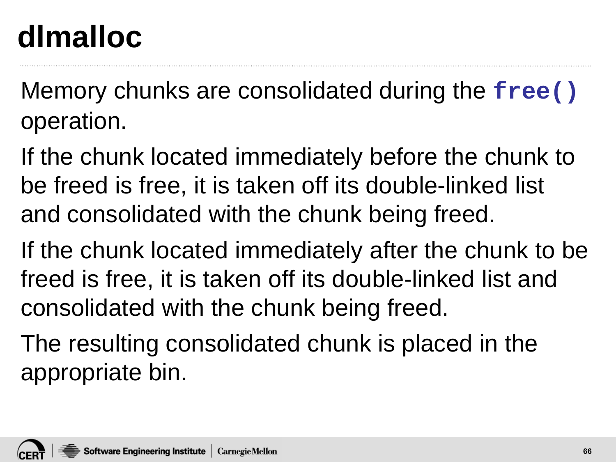# **dlmalloc**

Memory chunks are consolidated during the **free()** operation.

If the chunk located immediately before the chunk to be freed is free, it is taken off its double-linked list and consolidated with the chunk being freed.

If the chunk located immediately after the chunk to be freed is free, it is taken off its double-linked list and consolidated with the chunk being freed.

The resulting consolidated chunk is placed in the appropriate bin.

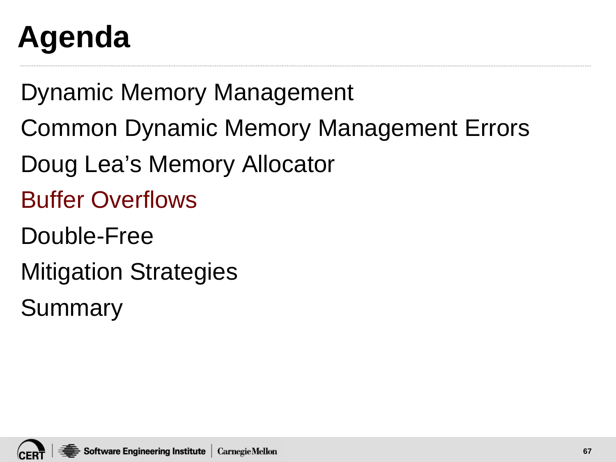# **Agenda**

Dynamic Memory Management

- Common Dynamic Memory Management Errors
- Doug Lea's Memory Allocator
- Buffer Overflows
- Double-Free
- Mitigation Strategies

Summary

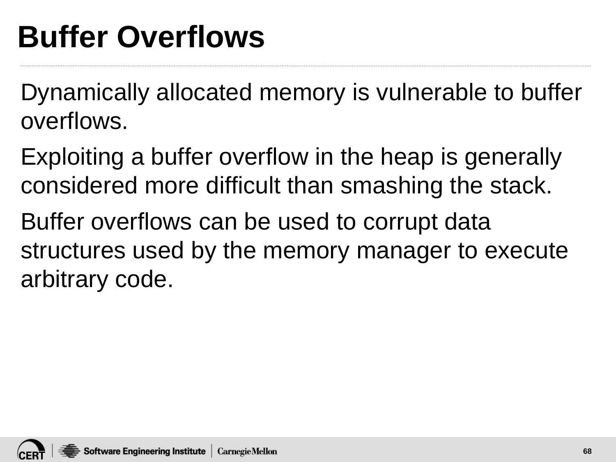# **Buffer Overflows**

Dynamically allocated memory is vulnerable to buffer overflows.

Exploiting a buffer overflow in the heap is generally considered more difficult than smashing the stack.

Buffer overflows can be used to corrupt data structures used by the memory manager to execute arbitrary code.

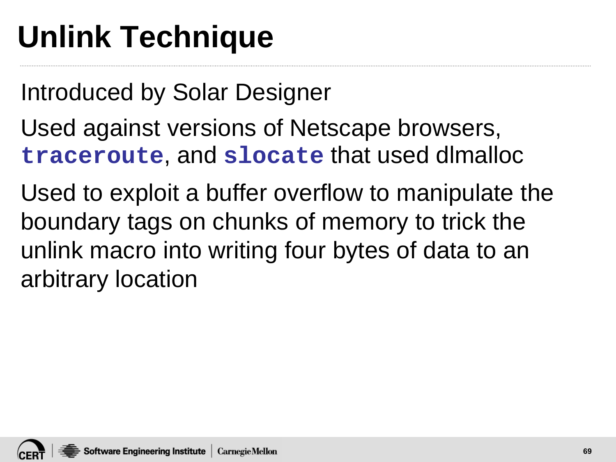# **Unlink Technique**

Introduced by Solar Designer

- Used against versions of Netscape browsers, **traceroute**, and **slocate** that used dlmalloc
- Used to exploit a buffer overflow to manipulate the boundary tags on chunks of memory to trick the unlink macro into writing four bytes of data to an arbitrary location

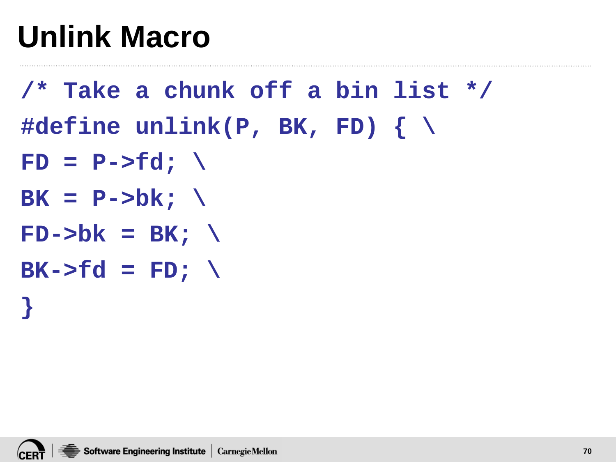# **Unlink Macro**

- **/\* Take a chunk off a bin list \*/ #define unlink(P, BK, FD) { \**  $FD = P->fd; \ \ \ \ \ \ \$
- $BK = P->bk; \ \ \ \ \ \$
- $FD->bk = BK; \ \ \ \ \ \ \$
- $BK->fd = FD; \ \ \ \ \$

**}**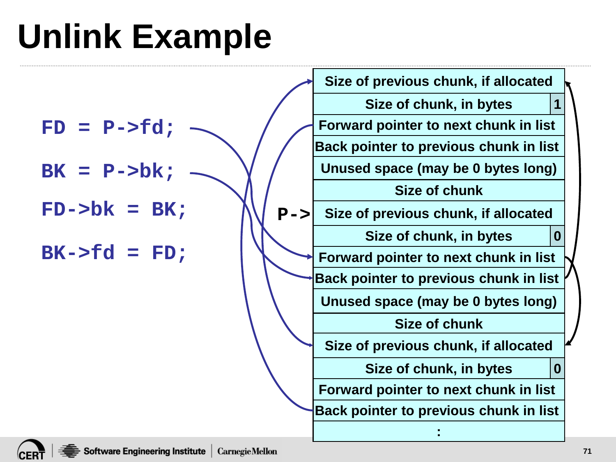# **Unlink Example**

| Size of previous chunk, if allocated |                                                                                                                                                                                                                                                                                                                                                                                                               |
|--------------------------------------|---------------------------------------------------------------------------------------------------------------------------------------------------------------------------------------------------------------------------------------------------------------------------------------------------------------------------------------------------------------------------------------------------------------|
| Size of chunk, in bytes              |                                                                                                                                                                                                                                                                                                                                                                                                               |
|                                      |                                                                                                                                                                                                                                                                                                                                                                                                               |
|                                      |                                                                                                                                                                                                                                                                                                                                                                                                               |
|                                      |                                                                                                                                                                                                                                                                                                                                                                                                               |
| Size of chunk                        |                                                                                                                                                                                                                                                                                                                                                                                                               |
| Size of previous chunk, if allocated |                                                                                                                                                                                                                                                                                                                                                                                                               |
| Size of chunk, in bytes              |                                                                                                                                                                                                                                                                                                                                                                                                               |
|                                      |                                                                                                                                                                                                                                                                                                                                                                                                               |
|                                      |                                                                                                                                                                                                                                                                                                                                                                                                               |
|                                      |                                                                                                                                                                                                                                                                                                                                                                                                               |
| <b>Size of chunk</b>                 |                                                                                                                                                                                                                                                                                                                                                                                                               |
| Size of previous chunk, if allocated |                                                                                                                                                                                                                                                                                                                                                                                                               |
| Size of chunk, in bytes              |                                                                                                                                                                                                                                                                                                                                                                                                               |
|                                      |                                                                                                                                                                                                                                                                                                                                                                                                               |
|                                      |                                                                                                                                                                                                                                                                                                                                                                                                               |
|                                      |                                                                                                                                                                                                                                                                                                                                                                                                               |
|                                      | $\overline{\mathbf{1}}$<br>Forward pointer to next chunk in list<br>Back pointer to previous chunk in list<br>Unused space (may be 0 bytes long)<br>$P - >$<br>$\bf{0}$<br>Forward pointer to next chunk in list<br><b>Back pointer to previous chunk in list</b><br>Unused space (may be 0 bytes long)<br>$\bf{0}$<br>Forward pointer to next chunk in list<br><b>Back pointer to previous chunk in list</b> |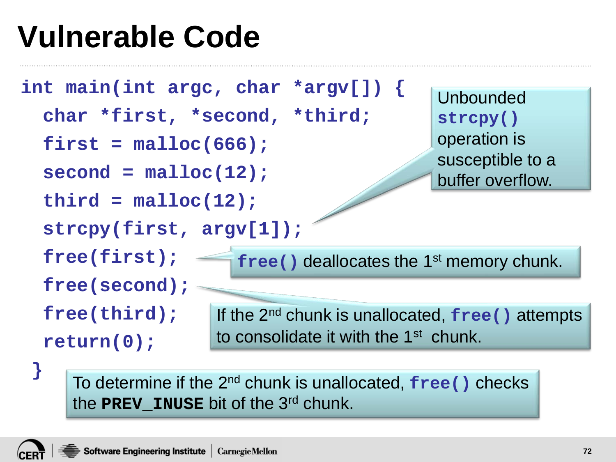# **Vulnerable Code**



To determine if the 2nd chunk is unallocated, **free()** checks the **PREV\_INUSE** bit of the 3rd chunk.

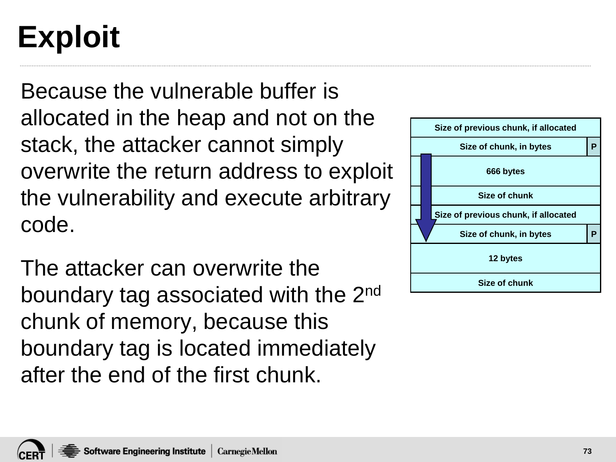# **Exploit**

Because the vulnerable buffer is allocated in the heap and not on the stack, the attacker cannot simply overwrite the return address to exploit the vulnerability and execute arbitrary code.

The attacker can overwrite the boundary tag associated with the 2<sup>nd</sup> chunk of memory, because this boundary tag is located immediately after the end of the first chunk.



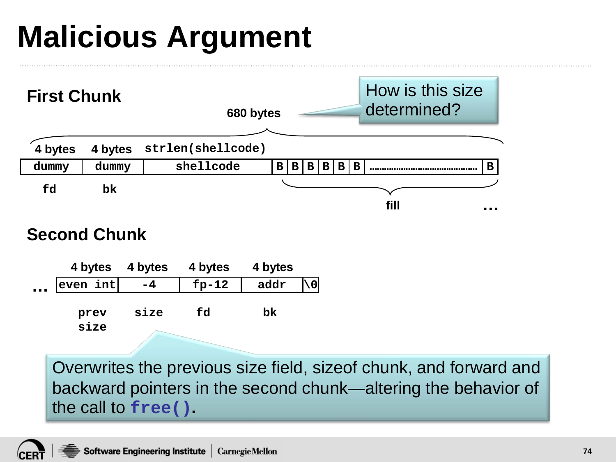# **Malicious Argument**



#### **Second Chunk**

|           |                  | 4 bytes 4 bytes | 4 bytes | 4 bytes |  |
|-----------|------------------|-----------------|---------|---------|--|
| $\ddotsc$ | $ $ even int $ $ | $-4$            | $fp-12$ | addr    |  |
|           | prev             | size            | fd      | bk      |  |
|           | size             |                 |         |         |  |

Overwrites the previous size field, sizeof chunk, and forward and backward pointers in the second chunk—altering the behavior of the call to **free().**

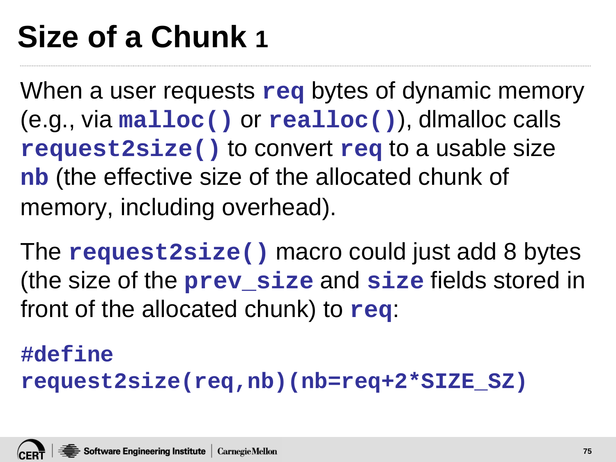# **Size of a Chunk 1**

When a user requests **req** bytes of dynamic memory (e.g., via **malloc()** or **realloc()**), dlmalloc calls **request2size()** to convert **req** to a usable size **nb** (the effective size of the allocated chunk of memory, including overhead).

The **request2size()** macro could just add 8 bytes (the size of the **prev\_size** and **size** fields stored in front of the allocated chunk) to **req**:

#### **#define**

**request2size(req,nb)(nb=req+2\*SIZE\_SZ)**

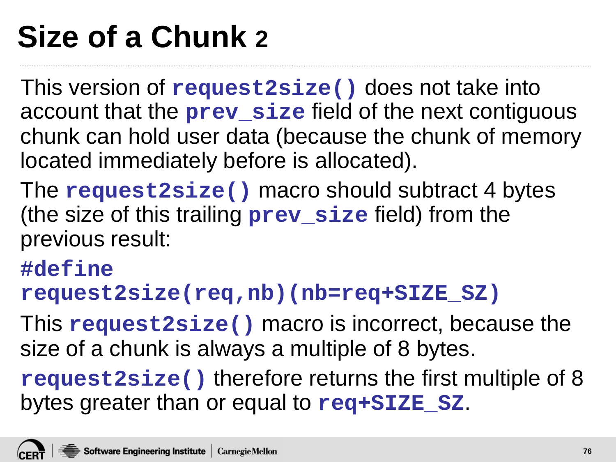# **Size of a Chunk 2**

This version of **request2size()** does not take into account that the **prev\_size** field of the next contiguous chunk can hold user data (because the chunk of memory located immediately before is allocated).

The **request2size()** macro should subtract 4 bytes (the size of this trailing **prev\_size** field) from the previous result:

#### **#define**

**request2size(req,nb)(nb=req+SIZE\_SZ)**

This **request2size()** macro is incorrect, because the size of a chunk is always a multiple of 8 bytes.

**request2size()** therefore returns the first multiple of 8 bytes greater than or equal to **req+SIZE\_SZ**.

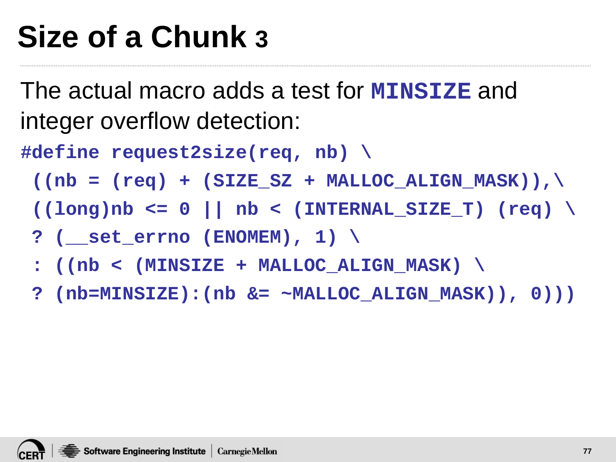# **Size of a Chunk 3**

The actual macro adds a test for **MINSIZE** and integer overflow detection:

**#define request2size(req, nb) \**

- $((nb = (req) + (SIZE SZ + MALLOC ALIGN MASK)),\)$
- **((long)nb <= 0 || nb < (INTERNAL\_SIZE\_T) (req) \**
- **? (\_\_set\_errno (ENOMEM), 1) \**
- **: ((nb < (MINSIZE + MALLOC\_ALIGN\_MASK) \**
- **? (nb=MINSIZE):(nb &= ~MALLOC\_ALIGN\_MASK)), 0)))**

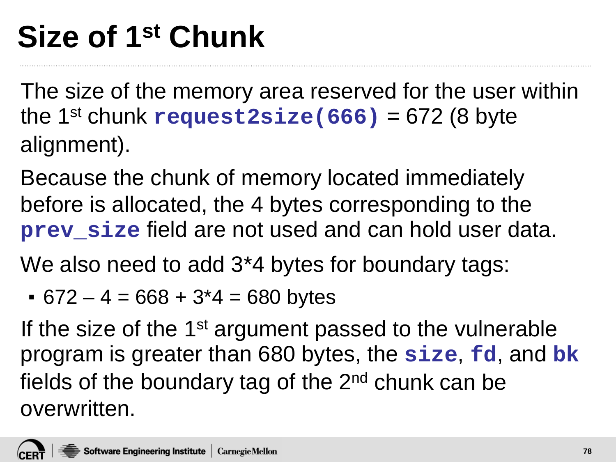# **Size of 1st Chunk**

The size of the memory area reserved for the user within the 1st chunk **request2size(666)** = 672 (8 byte alignment).

Because the chunk of memory located immediately before is allocated, the 4 bytes corresponding to the **prev** size field are not used and can hold user data.

We also need to add 3<sup>\*</sup>4 bytes for boundary tags:

 $• 672 - 4 = 668 + 3*4 = 680$  bytes

If the size of the 1<sup>st</sup> argument passed to the vulnerable program is greater than 680 bytes, the **size**, **fd**, and **bk** fields of the boundary tag of the  $2<sup>nd</sup>$  chunk can be overwritten.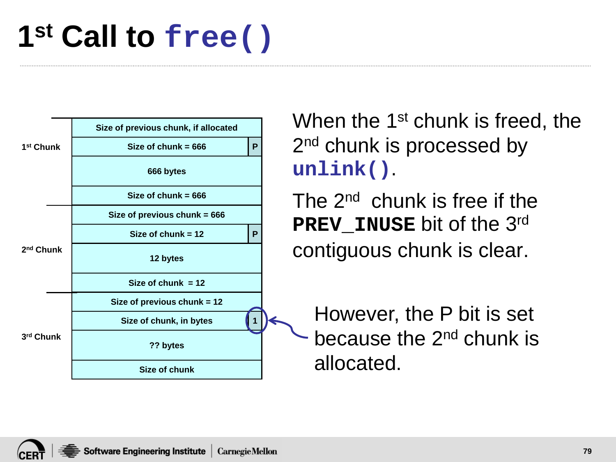#### **1st Call to free()**



When the 1<sup>st</sup> chunk is freed, the 2<sup>nd</sup> chunk is processed by **unlink()**.

The 2nd chunk is free if the **PREV\_INUSE** bit of the 3rd contiguous chunk is clear.

**<sup>1</sup>** However, the P bit is set because the 2<sup>nd</sup> chunk is allocated.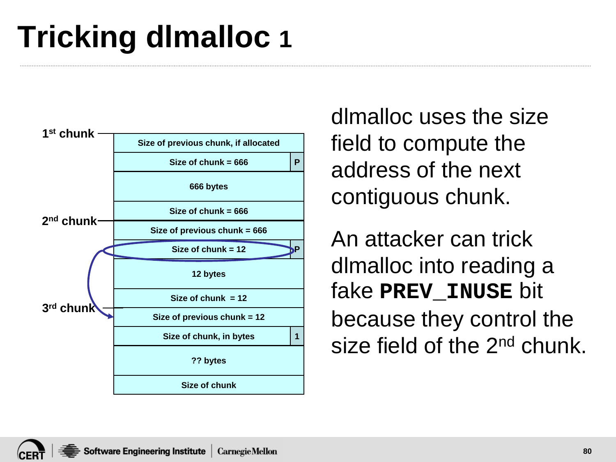# **Tricking dlmalloc 1**



dlmalloc uses the size field to compute the address of the next contiguous chunk.

An attacker can trick dlmalloc into reading a fake **PREV\_INUSE** bit because they control the size field of the 2<sup>nd</sup> chunk.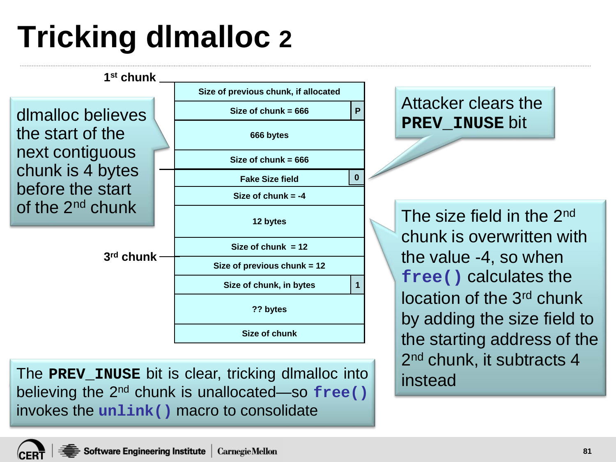# **Tricking dlmalloc 2**



The **PREV\_INUSE** bit is clear, tricking dlmalloc into believing the 2nd chunk is unallocated—so **free()** invokes the **unlink()** macro to consolidate

2<sup>nd</sup> chunk, it subtracts 4 instead

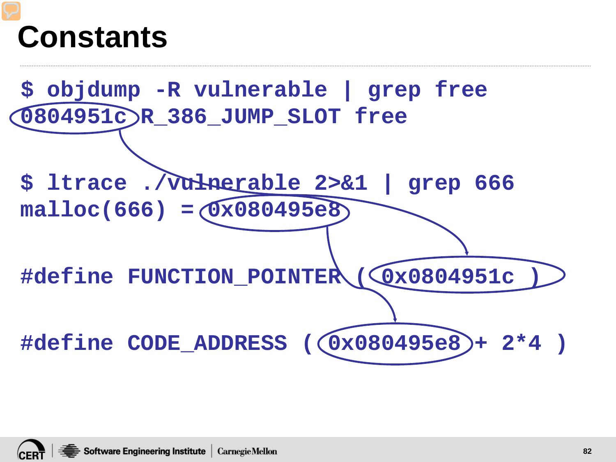#### **Constants**



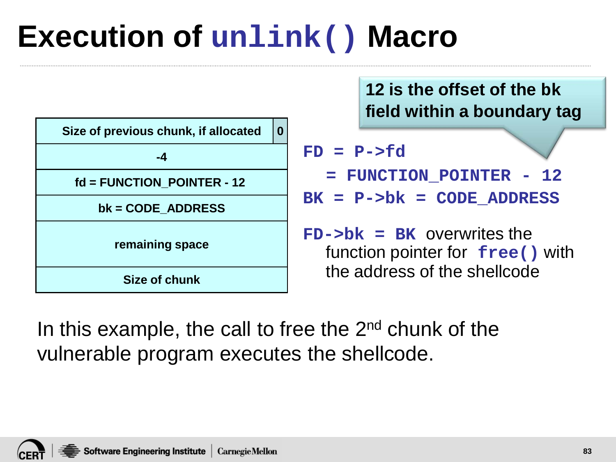#### **Execution of unlink() Macro**

| Size of previous chunk, if allocated | 0 |  |  |  |
|--------------------------------------|---|--|--|--|
| -4                                   |   |  |  |  |
| $fd = FUNCTION$ POINTER - 12         |   |  |  |  |
| $bk = CODE$ ADDRESS                  |   |  |  |  |
| remaining space                      |   |  |  |  |
| <b>Size of chunk</b>                 |   |  |  |  |

**12 is the offset of the bk field within a boundary tag**

**FD = P->fd**

**= FUNCTION\_POINTER - 12** 

**BK = P->bk = CODE\_ADDRESS**

**FD->bk = BK** overwrites the function pointer for **free()** with the address of the shellcode

In this example, the call to free the  $2<sup>nd</sup>$  chunk of the vulnerable program executes the shellcode.

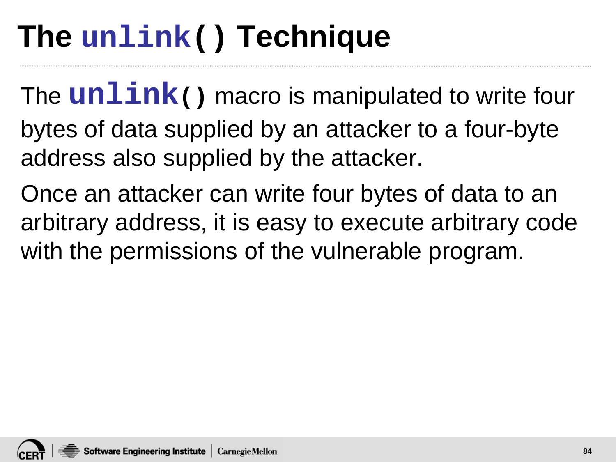## **The unlink() Technique**

The **unlink()** macro is manipulated to write four bytes of data supplied by an attacker to a four-byte address also supplied by the attacker.

Once an attacker can write four bytes of data to an arbitrary address, it is easy to execute arbitrary code with the permissions of the vulnerable program.

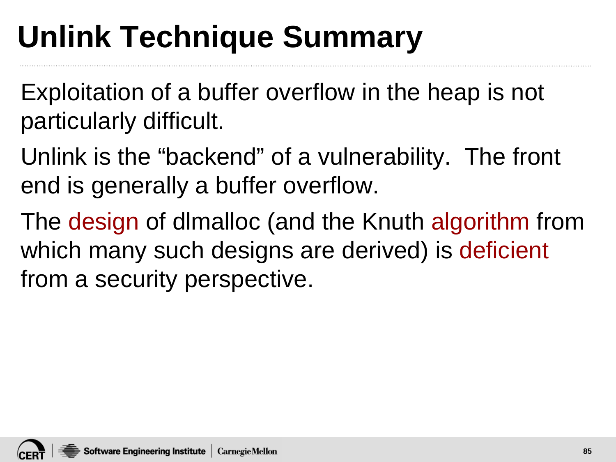# **Unlink Technique Summary**

Exploitation of a buffer overflow in the heap is not particularly difficult.

Unlink is the "backend" of a vulnerability. The front end is generally a buffer overflow.

The design of dlmalloc (and the Knuth algorithm from which many such designs are derived) is deficient from a security perspective.

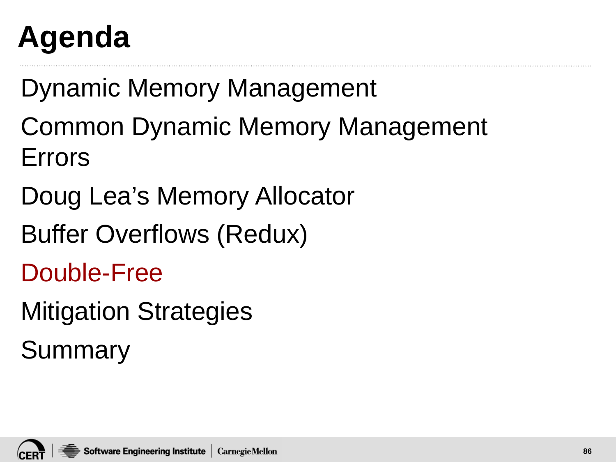# **Agenda**

Dynamic Memory Management

Common Dynamic Memory Management Errors

Doug Lea's Memory Allocator

Buffer Overflows (Redux)

Double-Free

Mitigation Strategies

Summary

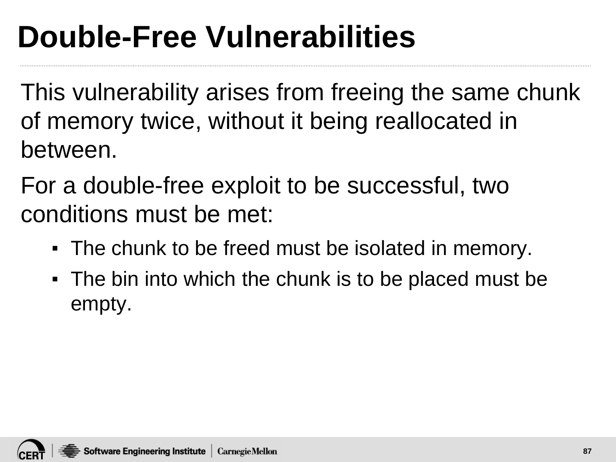# **Double-Free Vulnerabilities**

This vulnerability arises from freeing the same chunk of memory twice, without it being reallocated in between.

For a double-free exploit to be successful, two conditions must be met:

- The chunk to be freed must be isolated in memory.
- The bin into which the chunk is to be placed must be empty.

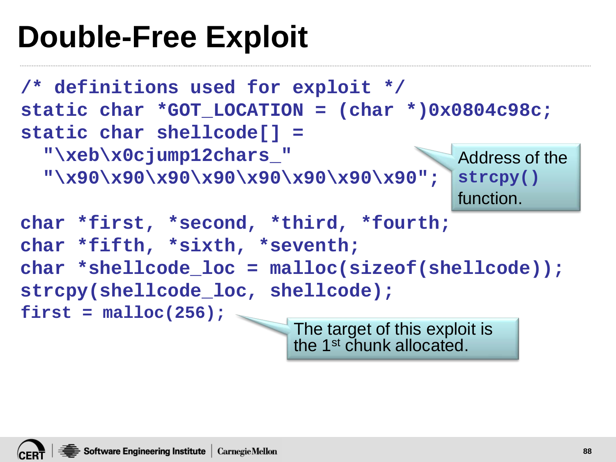#### **Double-Free Exploit**

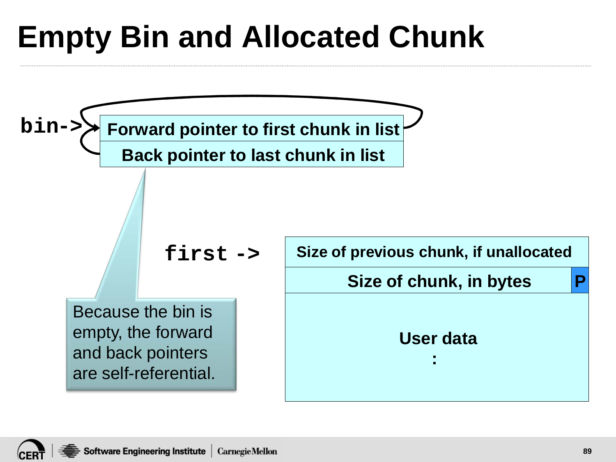# **Empty Bin and Allocated Chunk**

**Forward pointer to first chunk in list Back pointer to last chunk in list Size of previous chunk, if unallocated Size of chunk, in bytes User data : first -> bin-> P** Because the bin is empty, the forward and back pointers are self-referential.

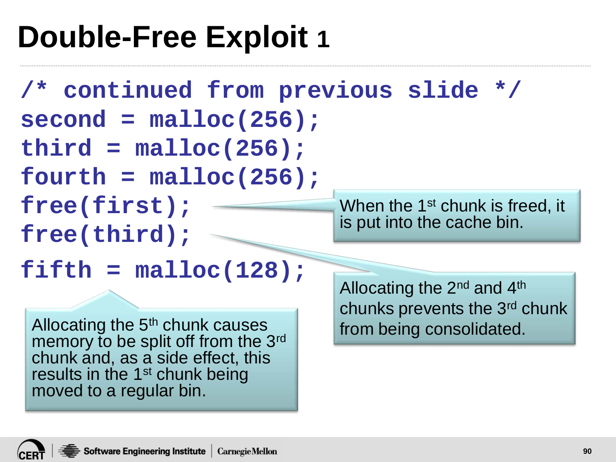#### **Double-Free Exploit 1**

**/\* continued from previous slide \*/ second = malloc(256); third = malloc(256); fourth = malloc(256); free(first); free(third); fifth = malloc(128);**  When the 1<sup>st</sup> chunk is freed, it is put into the cache bin. Allocating the 2nd and 4th chunks prevents the 3rd chunk Allocating the  $5<sup>th</sup>$  chunk causes from being consolidated. memory to be split off from the 3<sup>rd</sup> chunk and, as a side effect, this results in the 1<sup>st</sup> chunk being moved to a regular bin.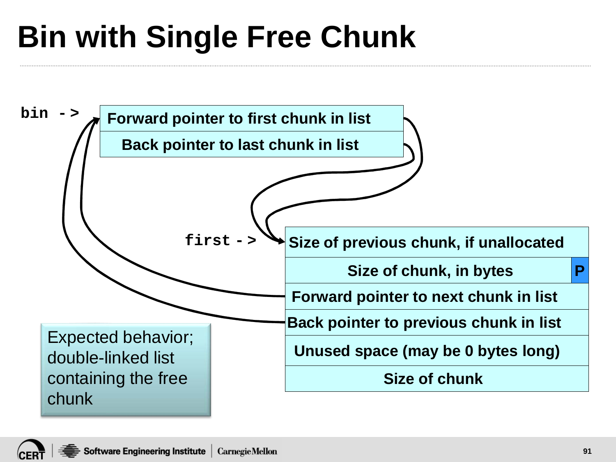# **Bin with Single Free Chunk**

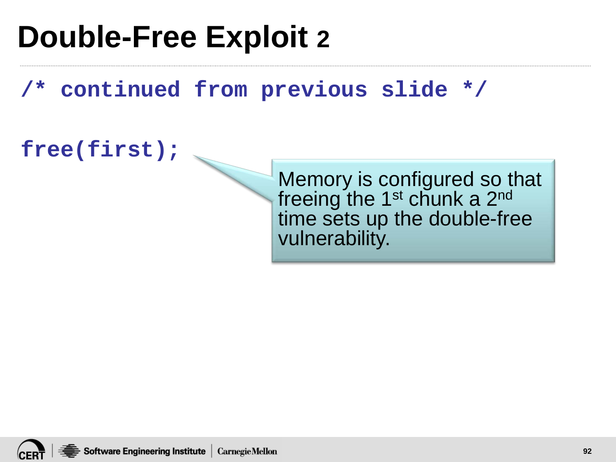#### **Double-Free Exploit 2**

**/\* continued from previous slide \*/**

**free(first);**

Memory is configured so that freeing the 1<sup>st</sup> chunk a 2<sup>nd</sup> time sets up the double-free vulnerability.

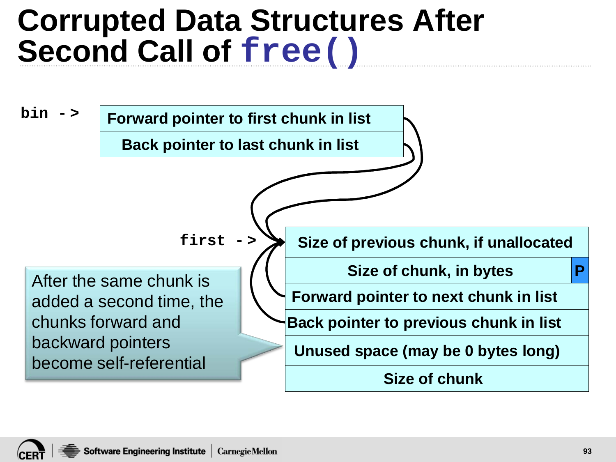#### **Corrupted Data Structures After Second Call of free()**

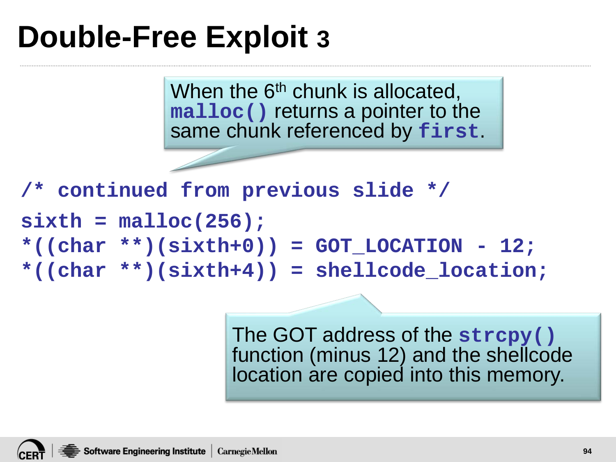#### **Double-Free Exploit 3**

When the  $6<sup>th</sup>$  chunk is allocated, **malloc()** returns a pointer to the same chunk referenced by **first**.

```
/* continued from previous slide */
sixth = malloc(256);
*((char **)(sixth+0)) = GOT_LOCATION - 12;
*((char **)(sixth+4)) = shellcode_location;
```
The GOT address of the **strcpy()** function (minus 12) and the shellcode location are copied into this memory.

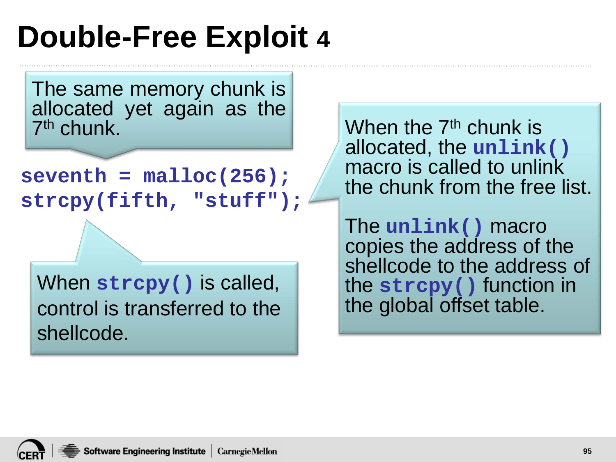#### **Double-Free Exploit 4**

The same memory chunk is allocated yet again as the 7th chunk.

```
seventh = malloc(256); 
strcpy(fifth, "stuff");
```
When **strcpy()** is called, control is transferred to the shellcode.

When the 7<sup>th</sup> chunk is allocated, the **unlink()** macro is called to unlink the chunk from the free list.

The **unlink()** macro copies the address of the shellcode to the address of the **strcpy()** function in the global offset table.

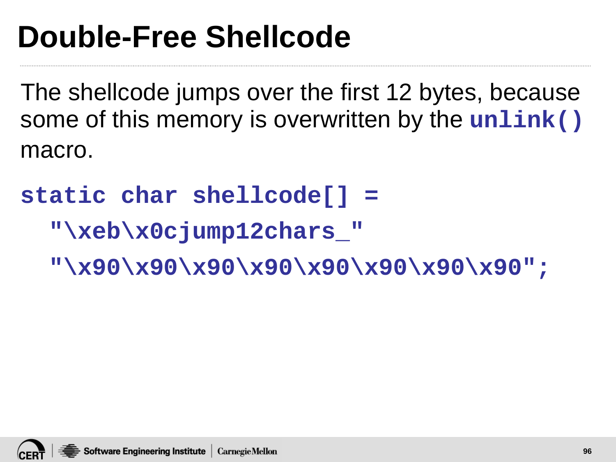#### **Double-Free Shellcode**

The shellcode jumps over the first 12 bytes, because some of this memory is overwritten by the **unlink()** macro.

**static char shellcode[] =**

**"\xeb\x0cjump12chars\_"** 

**"\x90\x90\x90\x90\x90\x90\x90\x90";**

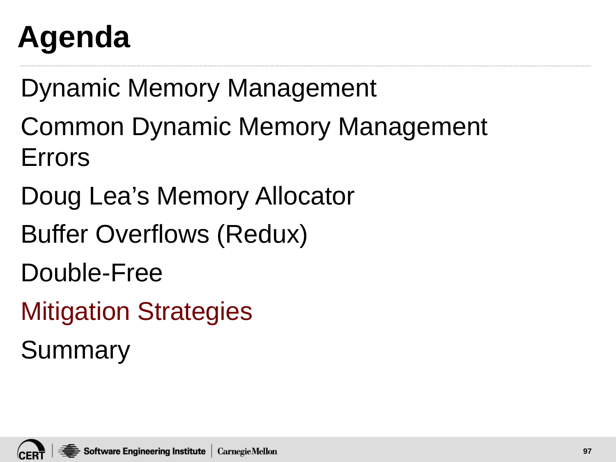# **Agenda**

Dynamic Memory Management

Common Dynamic Memory Management Errors

Doug Lea's Memory Allocator

Buffer Overflows (Redux)

Double-Free

Mitigation Strategies

Summary

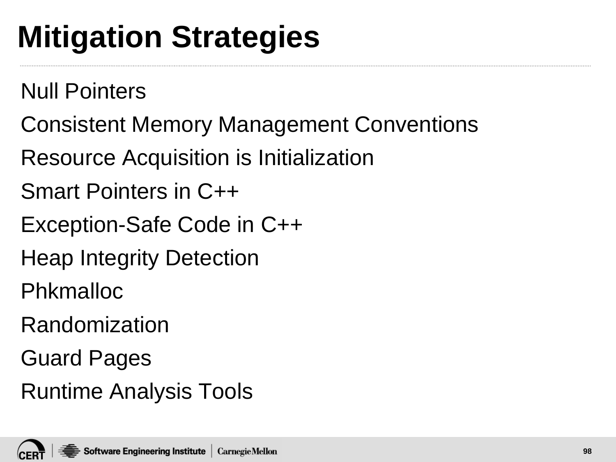# **Mitigation Strategies**

Null Pointers

- Consistent Memory Management Conventions
- Resource Acquisition is Initialization
- Smart Pointers in C++
- Exception-Safe Code in C++
- Heap Integrity Detection
- Phkmalloc
- Randomization
- Guard Pages
- Runtime Analysis Tools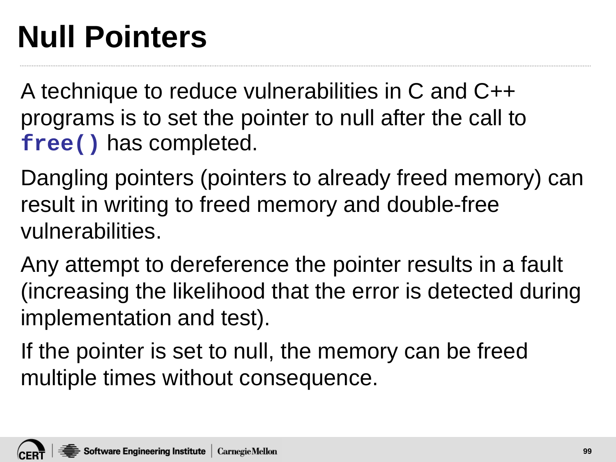# **Null Pointers**

A technique to reduce vulnerabilities in C and C++ programs is to set the pointer to null after the call to **free()** has completed.

Dangling pointers (pointers to already freed memory) can result in writing to freed memory and double-free vulnerabilities.

Any attempt to dereference the pointer results in a fault (increasing the likelihood that the error is detected during implementation and test).

If the pointer is set to null, the memory can be freed multiple times without consequence.

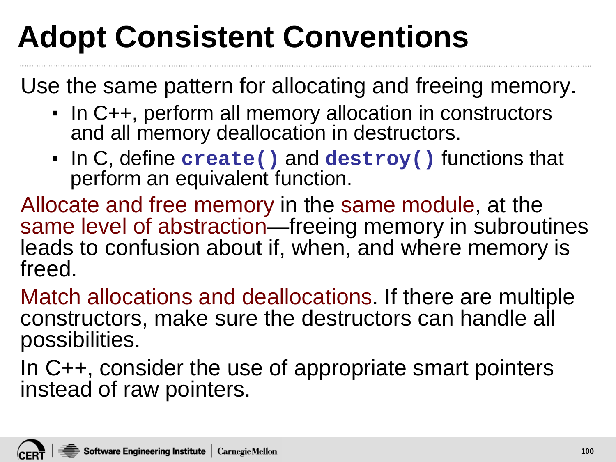# **Adopt Consistent Conventions**

Use the same pattern for allocating and freeing memory.

- In C++, perform all memory allocation in constructors and all memory deallocation in destructors.
- In C, define **create()** and **destroy()** functions that perform an equivalent function.

Allocate and free memory in the same module, at the same level of abstraction—freeing memory in subroutines leads to confusion about if, when, and where memory is freed.

Match allocations and deallocations. If there are multiple constructors, make sure the destructors can handle all possibilities.

In C++, consider the use of appropriate smart pointers instead of raw pointers.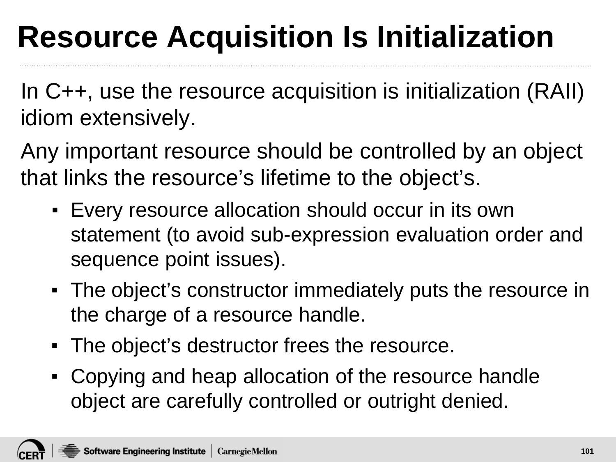# **Resource Acquisition Is Initialization**

In C++, use the resource acquisition is initialization (RAII) idiom extensively.

Any important resource should be controlled by an object that links the resource's lifetime to the object's.

- **Every resource allocation should occur in its own** statement (to avoid sub-expression evaluation order and sequence point issues).
- The object's constructor immediately puts the resource in the charge of a resource handle.
- The object's destructor frees the resource.
- Copying and heap allocation of the resource handle object are carefully controlled or outright denied.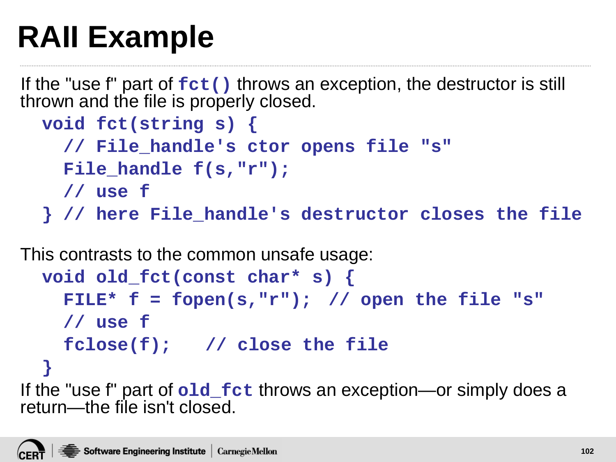# **RAII Example**

If the "use f" part of  $fct()$  throws an exception, the destructor is still thrown and the file is properly closed.

```
void fct(string s) {
  // File_handle's ctor opens file "s"
  File_handle f(s,"r"); 
  // use f
} // here File_handle's destructor closes the file
```
This contrasts to the common unsafe usage:

```
void old_fct(const char* s) {
    FILE* f = fopen(s,"r"); // open the file "s"
    // use f
    fclose(f); // close the file
  }
If the "use f" part of old_fct throws an exception—or simply does a 
return—the file isn't closed.
```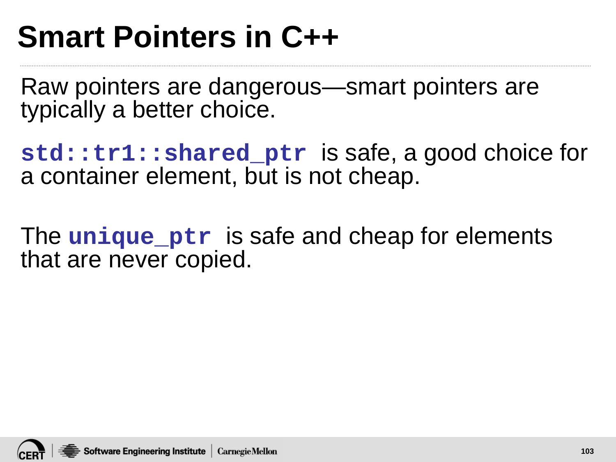#### **Smart Pointers in C++**

Raw pointers are dangerous—smart pointers are typically a better choice.

**std::tr1::shared\_ptr** is safe, a good choice for a container element, but is not cheap.

The **unique** ptr is safe and cheap for elements that are never copied.

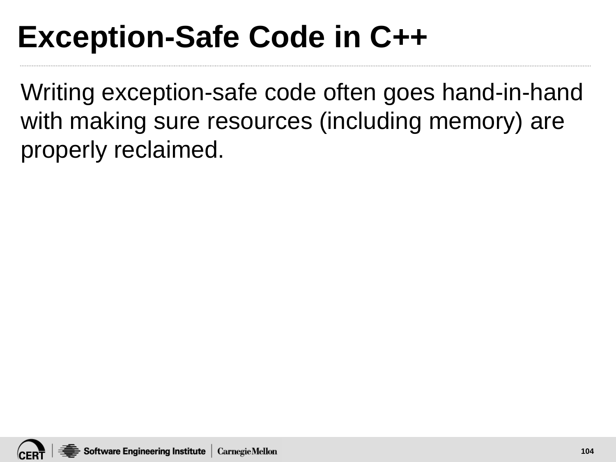## **Exception-Safe Code in C++**

Writing exception-safe code often goes hand-in-hand with making sure resources (including memory) are properly reclaimed.

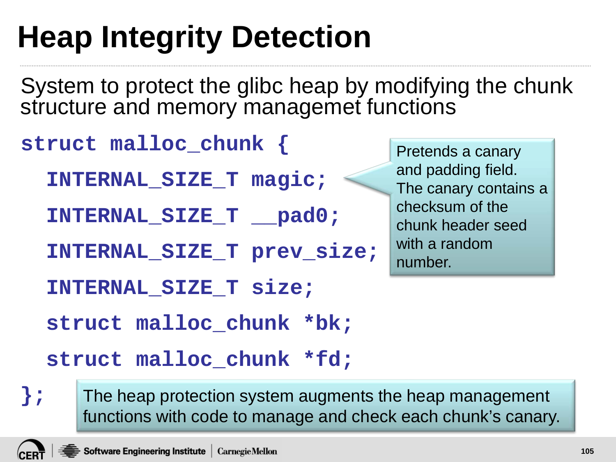# **Heap Integrity Detection**

System to protect the glibc heap by modifying the chunk structure and memory managemet functions

```
struct malloc_chunk {
  INTERNAL_SIZE_T magic;
  INTERNAL_SIZE_T __pad0;
  INTERNAL_SIZE_T prev_size;
  INTERNAL_SIZE_T size;
  struct malloc_chunk *bk;
  struct malloc_chunk *fd;
```
Pretends a canary and padding field. The canary contains a checksum of the chunk header seed with a random number.

The heap protection system augments the heap management functions with code to manage and check each chunk's canary.

**};**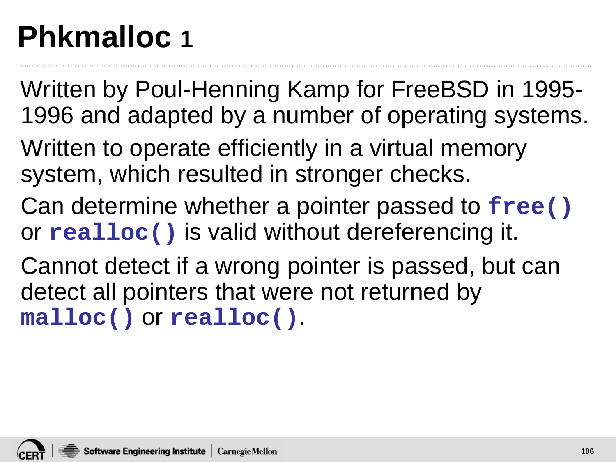# **Phkmalloc 1**

- Written by Poul-Henning Kamp for FreeBSD in 1995- 1996 and adapted by a number of operating systems.
- Written to operate efficiently in a virtual memory system, which resulted in stronger checks.
- Can determine whether a pointer passed to **free()** or **realloc()** is valid without dereferencing it.
- Cannot detect if a wrong pointer is passed, but can detect all pointers that were not returned by **malloc()** or **realloc()**.

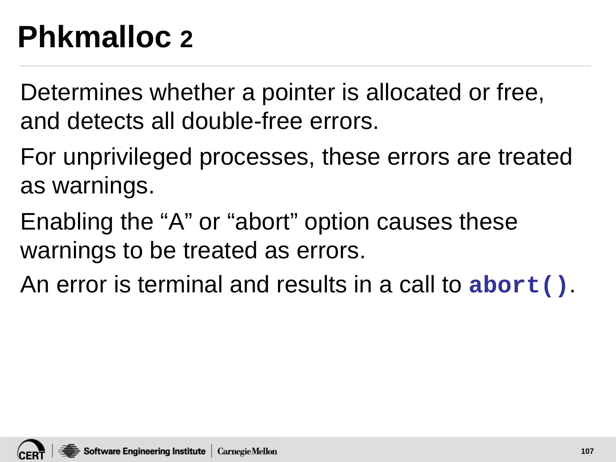# **Phkmalloc 2**

Determines whether a pointer is allocated or free, and detects all double-free errors.

For unprivileged processes, these errors are treated as warnings.

Enabling the "A" or "abort" option causes these warnings to be treated as errors.

An error is terminal and results in a call to **abort()**.

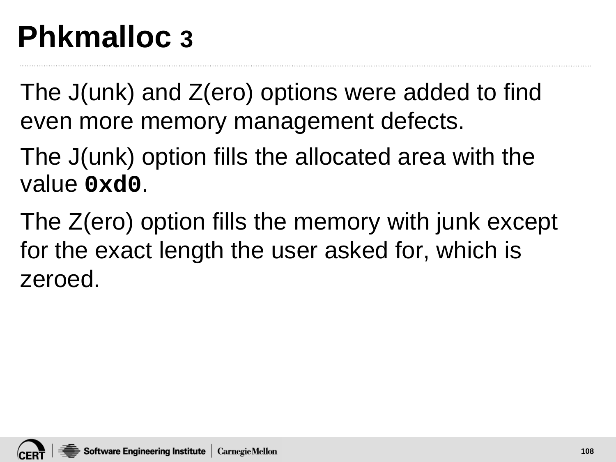## **Phkmalloc 3**

The J(unk) and Z(ero) options were added to find even more memory management defects.

The J(unk) option fills the allocated area with the value **0xd0**.

The Z(ero) option fills the memory with junk except for the exact length the user asked for, which is zeroed.

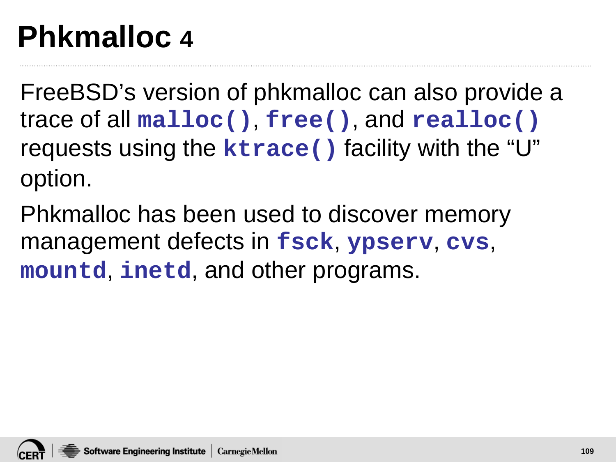#### **Phkmalloc 4**

FreeBSD's version of phkmalloc can also provide a trace of all **malloc()**, **free()**, and **realloc()** requests using the **ktrace()** facility with the "U" option.

Phkmalloc has been used to discover memory management defects in **fsck**, **ypserv**, **cvs**, **mountd**, **inetd**, and other programs.

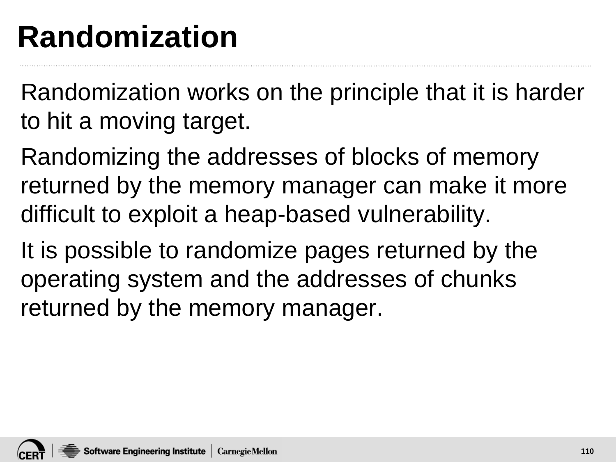#### **Randomization**

Randomization works on the principle that it is harder to hit a moving target.

Randomizing the addresses of blocks of memory returned by the memory manager can make it more difficult to exploit a heap-based vulnerability.

It is possible to randomize pages returned by the operating system and the addresses of chunks returned by the memory manager.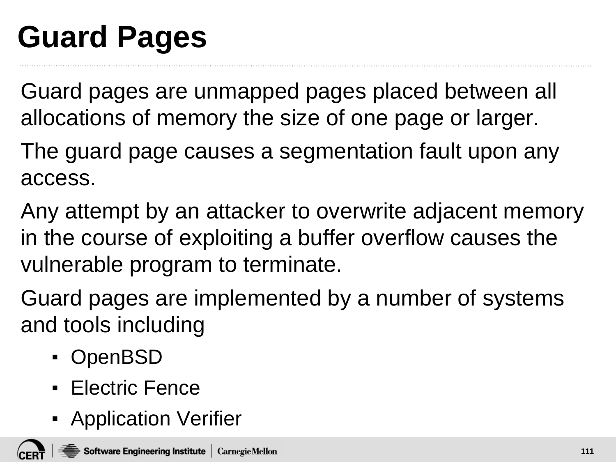# **Guard Pages**

Guard pages are unmapped pages placed between all allocations of memory the size of one page or larger.

The guard page causes a segmentation fault upon any access.

Any attempt by an attacker to overwrite adjacent memory in the course of exploiting a buffer overflow causes the vulnerable program to terminate.

Guard pages are implemented by a number of systems and tools including

- OpenBSD
- Electric Fence
- **E** Application Verifier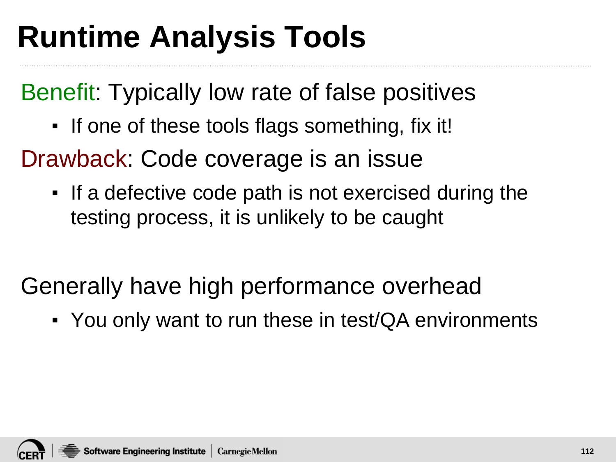## **Runtime Analysis Tools**

Benefit: Typically low rate of false positives

▪ If one of these tools flags something, fix it!

Drawback: Code coverage is an issue

- If a defective code path is not exercised during the testing process, it is unlikely to be caught
- Generally have high performance overhead
	- You only want to run these in test/QA environments

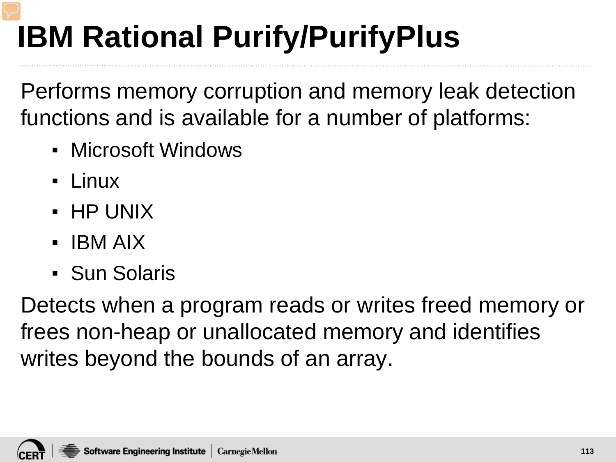# **IBM Rational Purify/PurifyPlus**

Performs memory corruption and memory leak detection functions and is available for a number of platforms:

- Microsoft Windows
- Linux
- $\blacksquare$  HP UNIX
- IBM AIX
- Sun Solaris

Detects when a program reads or writes freed memory or frees non-heap or unallocated memory and identifies writes beyond the bounds of an array.

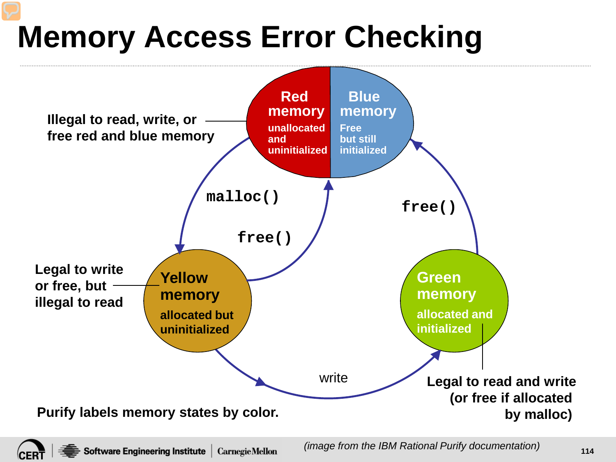# **Memory Access Error Checking**



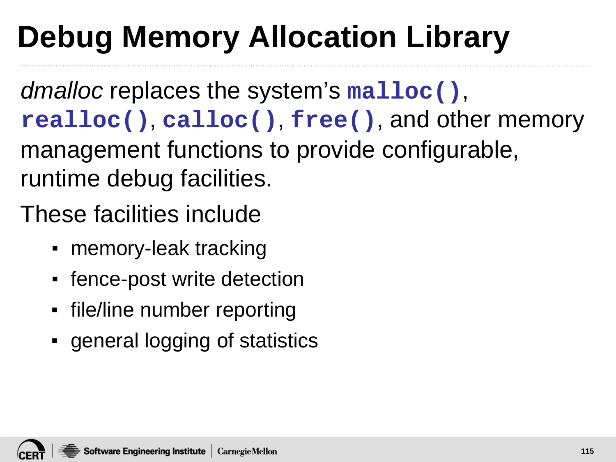# **Debug Memory Allocation Library**

*dmalloc* replaces the system's **malloc()**, **realloc()**, **calloc()**, **free()**, and other memory management functions to provide configurable, runtime debug facilities.

These facilities include

- memory-leak tracking
- fence-post write detection
- file/line number reporting
- general logging of statistics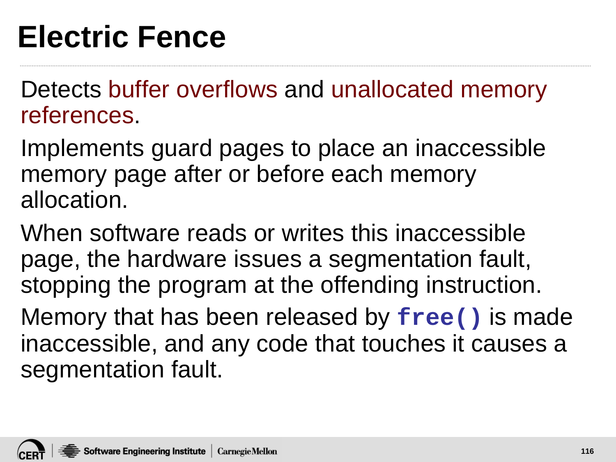#### **Electric Fence**

Detects buffer overflows and unallocated memory references.

Implements guard pages to place an inaccessible memory page after or before each memory allocation.

When software reads or writes this inaccessible page, the hardware issues a segmentation fault, stopping the program at the offending instruction. Memory that has been released by **free()** is made inaccessible, and any code that touches it causes a segmentation fault.

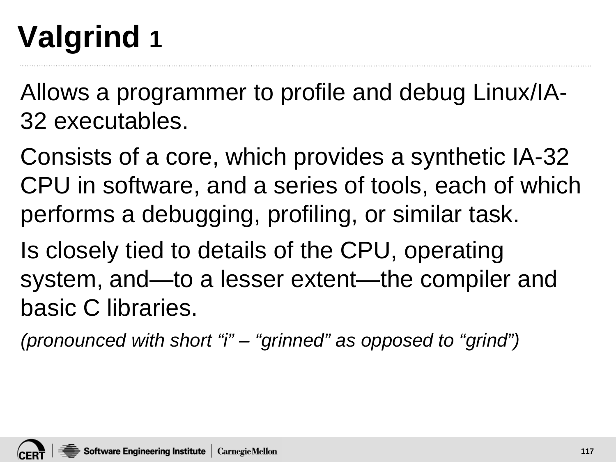# **Valgrind 1**

Allows a programmer to profile and debug Linux/IA-32 executables.

Consists of a core, which provides a synthetic IA-32 CPU in software, and a series of tools, each of which performs a debugging, profiling, or similar task.

Is closely tied to details of the CPU, operating system, and—to a lesser extent—the compiler and basic C libraries.

*(pronounced with short "i" – "grinned" as opposed to "grind")*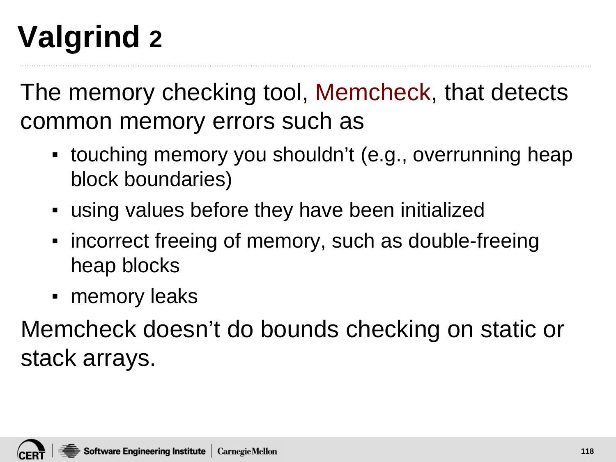# **Valgrind 2**

The memory checking tool, Memcheck, that detects common memory errors such as

- touching memory you shouldn't (e.g., overrunning heap block boundaries)
- using values before they have been initialized
- incorrect freeing of memory, such as double-freeing heap blocks
- memory leaks

Memcheck doesn't do bounds checking on static or stack arrays.

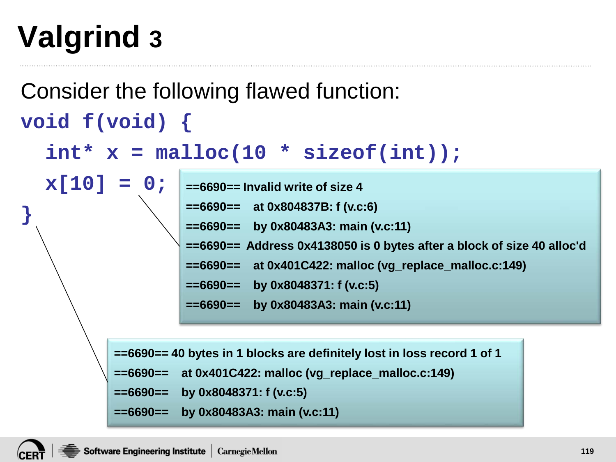## **Valgrind 3**

Consider the following flawed function: **void f(void) { int\* x = malloc(10 \* sizeof(int)); x[10] = 0; } ==6690== Invalid write of size 4 ==6690== at 0x804837B: f (v.c:6) ==6690== by 0x80483A3: main (v.c:11) ==6690== Address 0x4138050 is 0 bytes after a block of size 40 alloc'd ==6690== at 0x401C422: malloc (vg\_replace\_malloc.c:149) ==6690== by 0x8048371: f (v.c:5) ==6690== by 0x80483A3: main (v.c:11) ==6690== 40 bytes in 1 blocks are definitely lost in loss record 1 of 1**

```
==6690== at 0x401C422: malloc (vg_replace_malloc.c:149)
```

```
==6690== by 0x8048371: f (v.c:5)
```

```
==6690== by 0x80483A3: main (v.c:11)
```
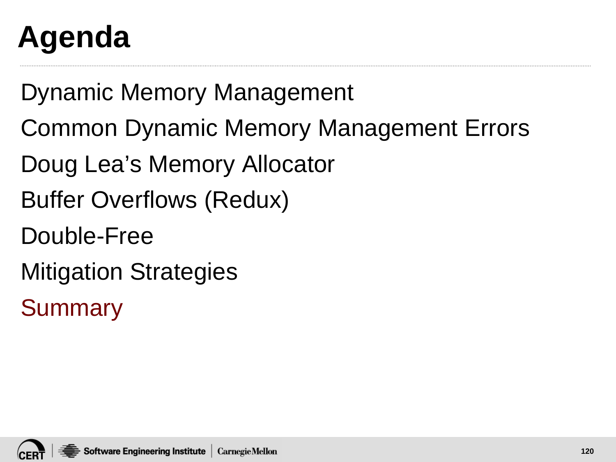# **Agenda**

Dynamic Memory Management

- Common Dynamic Memory Management Errors
- Doug Lea's Memory Allocator
- Buffer Overflows (Redux)
- Double-Free
- Mitigation Strategies

**Summary** 

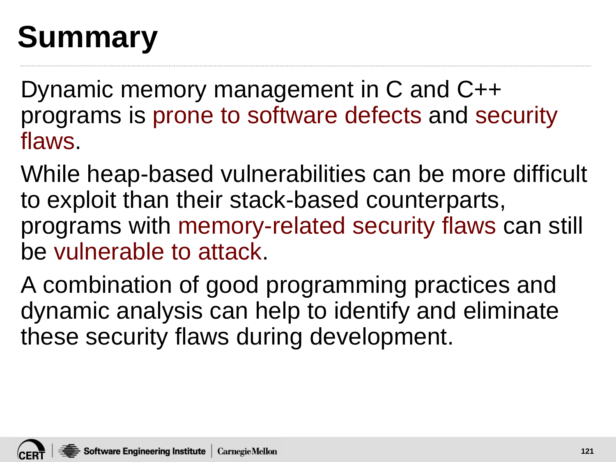# **Summary**

Dynamic memory management in C and C++ programs is prone to software defects and security flaws.

While heap-based vulnerabilities can be more difficult to exploit than their stack-based counterparts, programs with memory-related security flaws can still be vulnerable to attack.

A combination of good programming practices and dynamic analysis can help to identify and eliminate these security flaws during development.

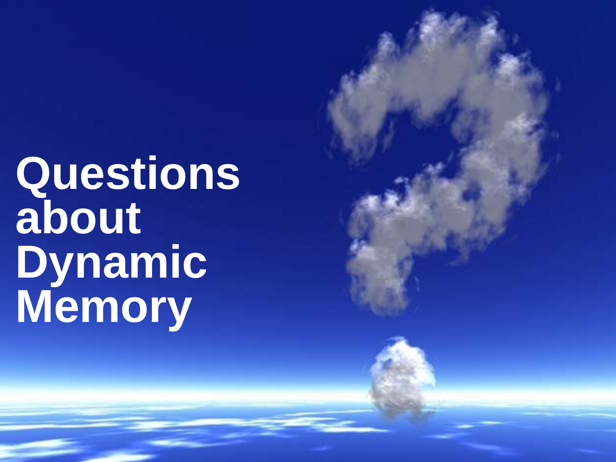**Questions about Dynamic Memory**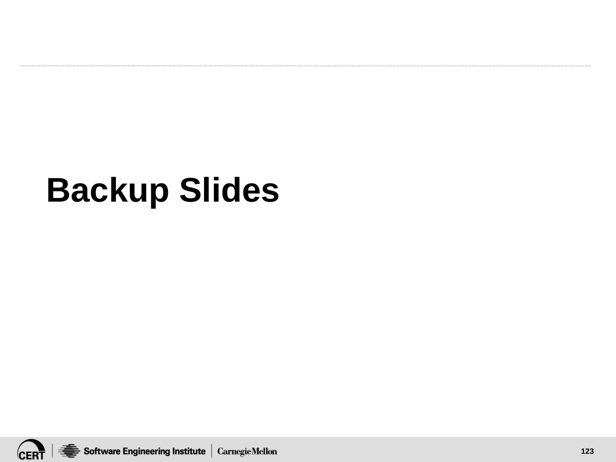## **Backup Slides**

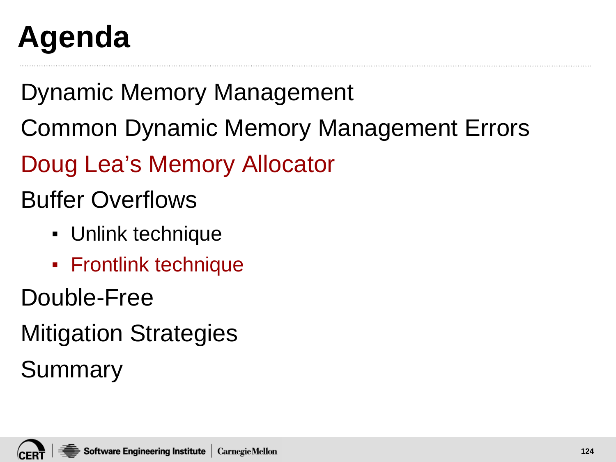# **Agenda**

Dynamic Memory Management

Common Dynamic Memory Management Errors

Doug Lea's Memory Allocator

Buffer Overflows

- Unlink technique
- Frontlink technique

Double-Free

Mitigation Strategies

Summary

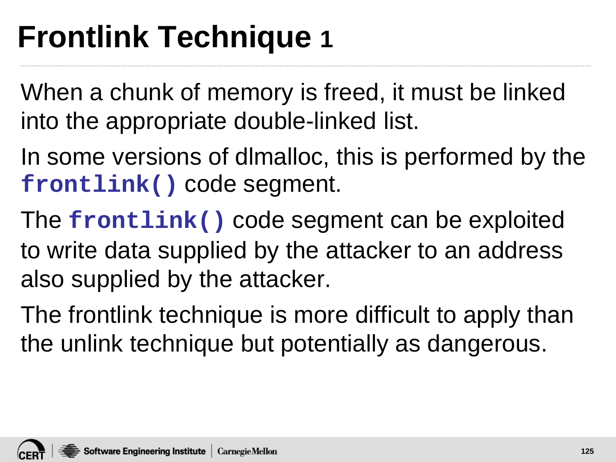### **Frontlink Technique 1**

When a chunk of memory is freed, it must be linked into the appropriate double-linked list.

- In some versions of dlmalloc, this is performed by the **frontlink()** code segment.
- The **frontlink()** code segment can be exploited to write data supplied by the attacker to an address also supplied by the attacker.
- The frontlink technique is more difficult to apply than the unlink technique but potentially as dangerous.

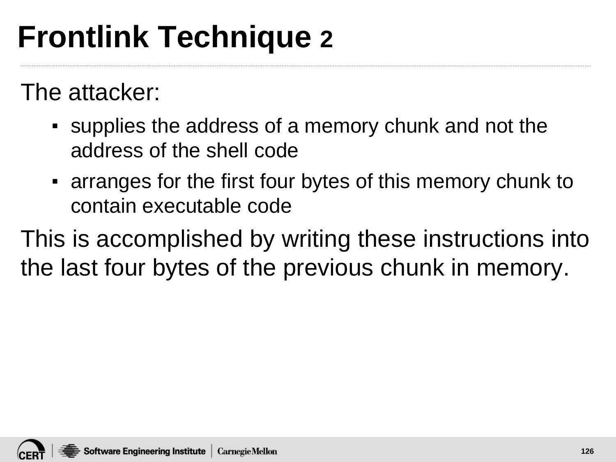## **Frontlink Technique 2**

The attacker:

- supplies the address of a memory chunk and not the address of the shell code
- arranges for the first four bytes of this memory chunk to contain executable code

This is accomplished by writing these instructions into the last four bytes of the previous chunk in memory.

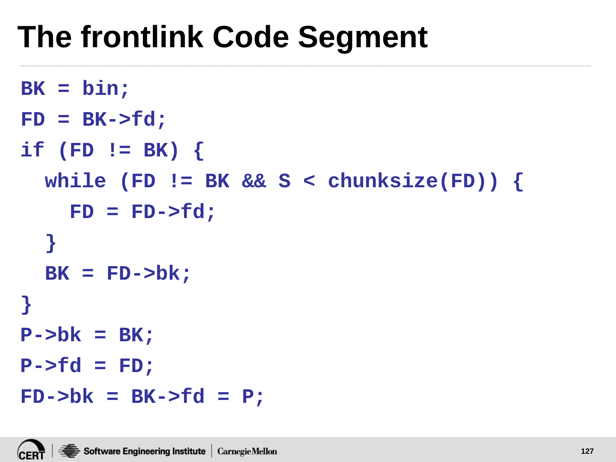#### **The frontlink Code Segment**

```
BK = bin;
```

```
FD = BK->fd;
```

```
if (FD != BK) {
```

```
while (FD != BK && S < chunksize(FD)) {
```

```
FD = FD->fd;
```

```
}
  BK = FD->bk;
}
```

```
P->bk = BK;
```

```
P->fd = FD;
```

```
FD->bk = BK->fd = P;
```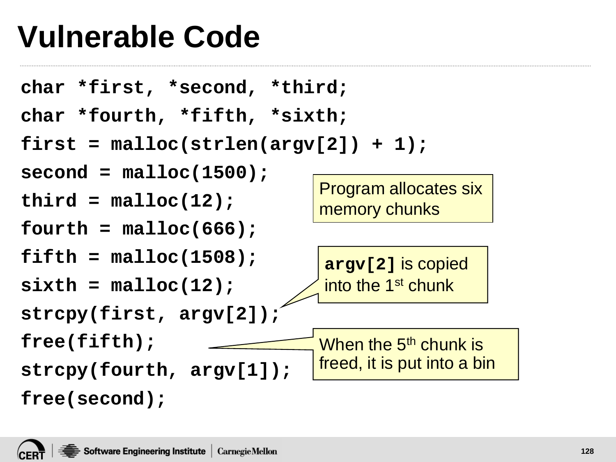#### **Vulnerable Code**

```
char *first, *second, *third;
char *fourth, *fifth, *sixth;
first = malloc(strlen(argv[2]) + 1); 
second = malloc(1500); 
third = malloc(12); 
fourth = malloc(666); 
fifth = malloc(1508); 
sixth = malloc(12); 
strcpy(first, argv[2]); 
free(fifth); 
strcpy(fourth, argv[1]); 
free(second);
                                 argv[2] is copied 
                                 into the 1<sup>st</sup> chunk
                                When the 5<sup>th</sup> chunk is
                                freed, it is put into a bin
                                Program allocates six 
                                memory chunks
```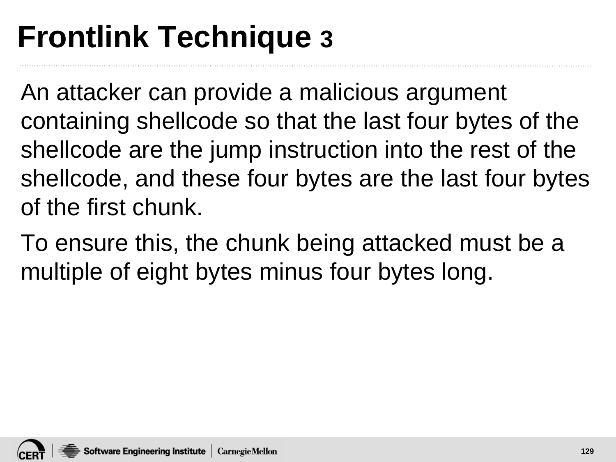## **Frontlink Technique 3**

An attacker can provide a malicious argument containing shellcode so that the last four bytes of the shellcode are the jump instruction into the rest of the shellcode, and these four bytes are the last four bytes of the first chunk.

To ensure this, the chunk being attacked must be a multiple of eight bytes minus four bytes long.

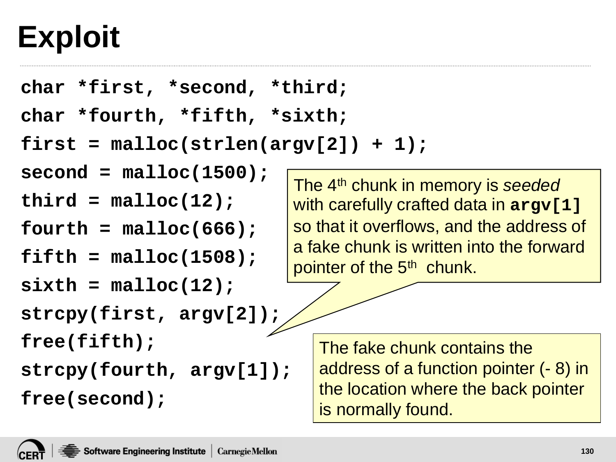### **Exploit**

```
char *first, *second, *third;
```

```
char *fourth, *fifth, *sixth;
```

```
first = malloc(strlen(argv[2]) + 1);
```

```
second = malloc(1500);
```

```
third = malloc(12);
```

```
fourth = malloc(666);
```

```
fifth = malloc(1508);
```

```
sixth = malloc(12);
```

```
strcpy(first, argv[2]);
```
**free(fifth);** 

**strcpy(fourth, argv[1]);** 

**free(second);**

The 4th chunk in memory is *seeded* with carefully crafted data in **argv[1]** so that it overflows, and the address of a fake chunk is written into the forward pointer of the 5<sup>th</sup> chunk.

The fake chunk contains the address of a function pointer (- 8) in the location where the back pointer is normally found.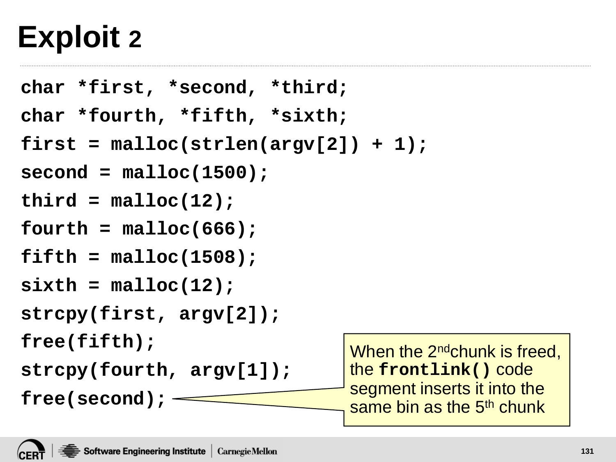#### **Exploit 2**

```
char *first, *second, *third;
char *fourth, *fifth, *sixth;
first = malloc(strlen(argv[2]) + 1); 
second = malloc(1500); 
third = malloc(12); 
fourth = malloc(666); 
fifth = malloc(1508); 
sixth = malloc(12); 
strcpy(first, argv[2]); 
free(fifth); 
strcpy(fourth, argv[1]); 
free(second);
                                   When the 2<sup>nd</sup>chunk is freed,
                                   the frontlink() code 
                                   segment inserts it into the 
                                   same bin as the 5<sup>th</sup> chunk
```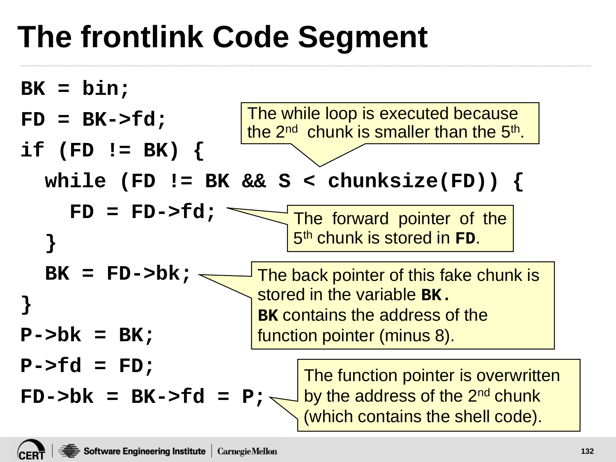# **The frontlink Code Segment**

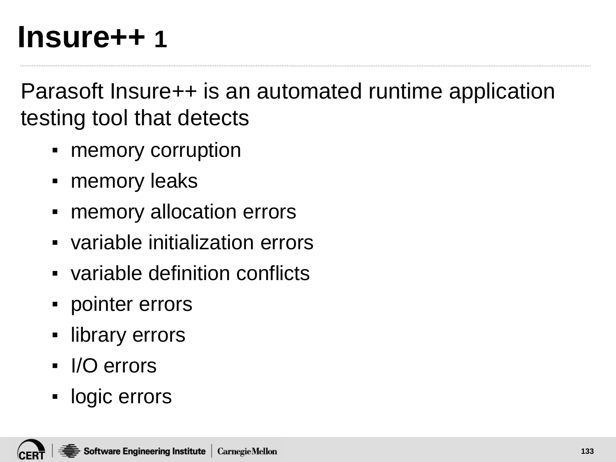#### **Insure++ 1**

Parasoft Insure++ is an automated runtime application testing tool that detects

- memory corruption
- memory leaks
- memory allocation errors
- variable initialization errors
- variable definition conflicts
- pointer errors
- library errors
- I/O errors
- logic errors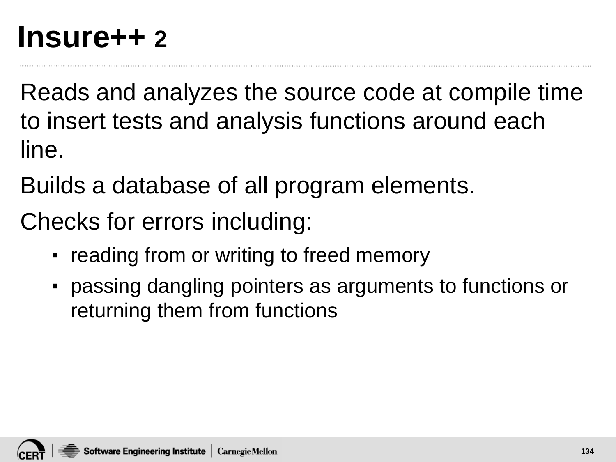#### **Insure++ 2**

Reads and analyzes the source code at compile time to insert tests and analysis functions around each line.

Builds a database of all program elements.

Checks for errors including:

- reading from or writing to freed memory
- passing dangling pointers as arguments to functions or returning them from functions